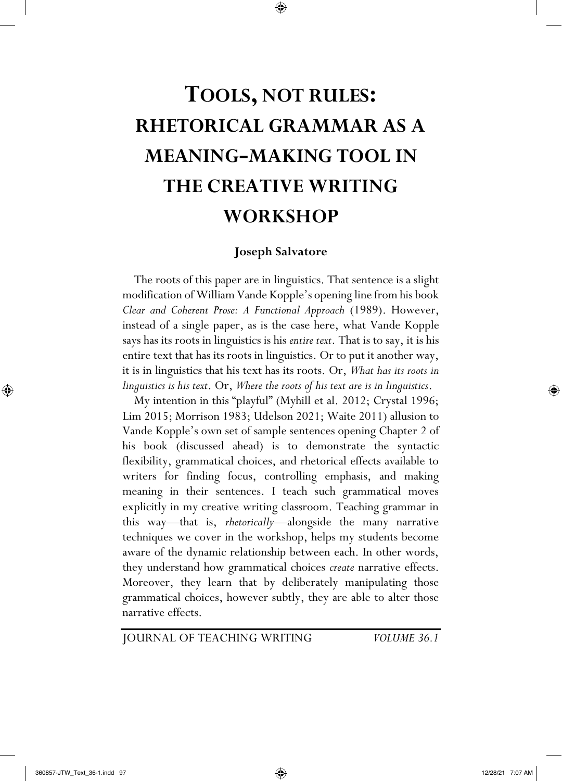# **TOOLS, NOT RULES: RHETORICAL GRAMMAR AS A MEANING-MAKING TOOL IN THE CREATIVE WRITING WORKSHOP**

 $\bigoplus$ 

## **Joseph Salvatore**

 The roots of this paper are in linguistics. That sentence is a slight modification of William Vande Kopple's opening line from his book *Clear and Coherent Prose: A Functional Approach* (1989). However, instead of a single paper, as is the case here, what Vande Kopple says has its roots in linguistics is his *entire text*. That is to say, it is his entire text that has its roots in linguistics. Or to put it another way, it is in linguistics that his text has its roots. Or, *What has its roots in linguistics is his text*. Or, *Where the roots of his text are is in linguistics*.

 My intention in this "playful" (Myhill et al. 2012; Crystal 1996; Lim 2015; Morrison 1983; Udelson 2021; Waite 2011) allusion to Vande Kopple's own set of sample sentences opening Chapter 2 of his book (discussed ahead) is to demonstrate the syntactic flexibility, grammatical choices, and rhetorical effects available to writers for finding focus, controlling emphasis, and making meaning in their sentences. I teach such grammatical moves explicitly in my creative writing classroom. Teaching grammar in this way—that is, *rhetorically*—alongside the many narrative techniques we cover in the workshop, helps my students become aware of the dynamic relationship between each. In other words, they understand how grammatical choices *create* narrative effects. Moreover, they learn that by deliberately manipulating those grammatical choices, however subtly, they are able to alter those narrative effects.

JOURNAL OF TEACHING WRITING *VOLUME 36.1*

⊕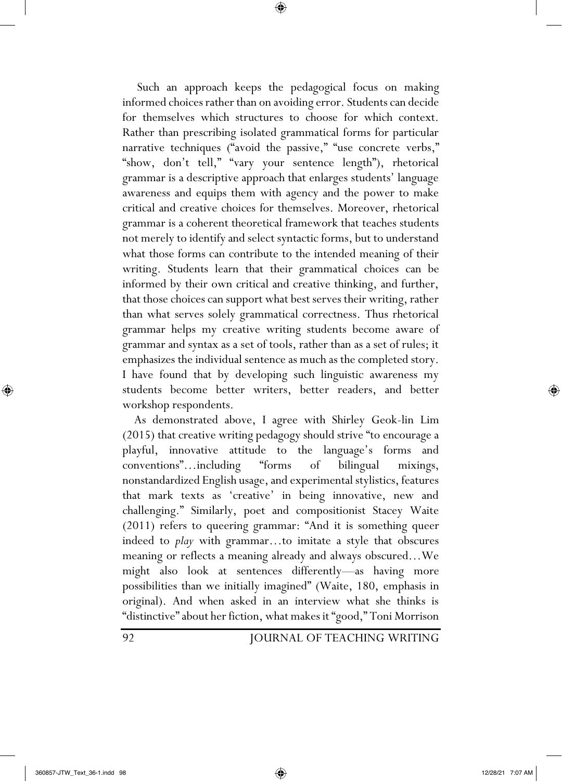Such an approach keeps the pedagogical focus on making informed choices rather than on avoiding error. Students can decide for themselves which structures to choose for which context. Rather than prescribing isolated grammatical forms for particular narrative techniques ("avoid the passive," "use concrete verbs," "show, don't tell," "vary your sentence length"), rhetorical grammar is a descriptive approach that enlarges students' language awareness and equips them with agency and the power to make critical and creative choices for themselves. Moreover, rhetorical grammar is a coherent theoretical framework that teaches students not merely to identify and select syntactic forms, but to understand what those forms can contribute to the intended meaning of their writing. Students learn that their grammatical choices can be informed by their own critical and creative thinking, and further, that those choices can support what best serves their writing, rather than what serves solely grammatical correctness. Thus rhetorical grammar helps my creative writing students become aware of grammar and syntax as a set of tools, rather than as a set of rules; it emphasizes the individual sentence as much as the completed story. I have found that by developing such linguistic awareness my students become better writers, better readers, and better workshop respondents.

⊕

 As demonstrated above, I agree with Shirley Geok-lin Lim (2015) that creative writing pedagogy should strive "to encourage a playful, innovative attitude to the language's forms and conventions"…including "forms of bilingual mixings, nonstandardized English usage, and experimental stylistics, features that mark texts as 'creative' in being innovative, new and challenging." Similarly, poet and compositionist Stacey Waite (2011) refers to queering grammar: "And it is something queer indeed to *play* with grammar…to imitate a style that obscures meaning or reflects a meaning already and always obscured…We might also look at sentences differently—as having more possibilities than we initially imagined" (Waite, 180, emphasis in original). And when asked in an interview what she thinks is "distinctive" about her fiction, what makes it "good," Toni Morrison

92 JOURNAL OF TEACHING WRITING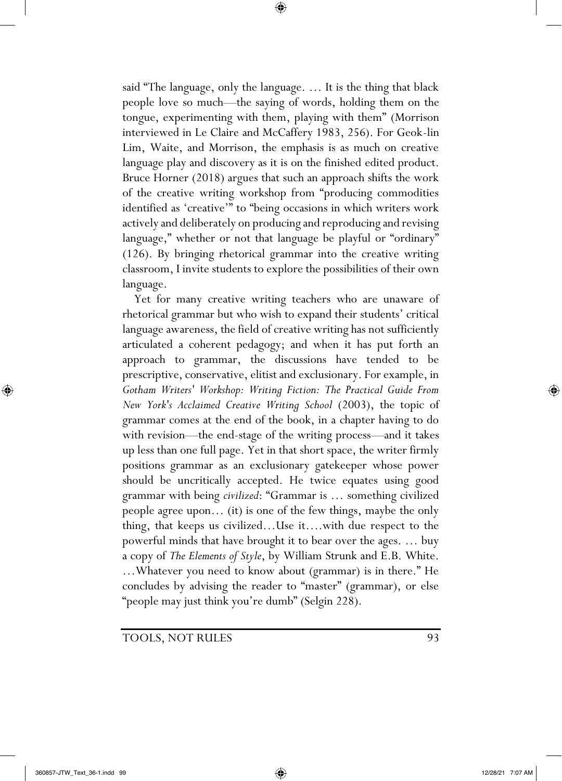said "The language, only the language. … It is the thing that black people love so much—the saying of words, holding them on the tongue, experimenting with them, playing with them" (Morrison interviewed in Le Claire and McCaffery 1983, 256). For Geok-lin Lim, Waite, and Morrison, the emphasis is as much on creative language play and discovery as it is on the finished edited product. Bruce Horner (2018) argues that such an approach shifts the work of the creative writing workshop from "producing commodities identified as 'creative'" to "being occasions in which writers work actively and deliberately on producing and reproducing and revising language," whether or not that language be playful or "ordinary" (126). By bringing rhetorical grammar into the creative writing classroom, I invite students to explore the possibilities of their own language.

⊕

 Yet for many creative writing teachers who are unaware of rhetorical grammar but who wish to expand their students' critical language awareness, the field of creative writing has not sufficiently articulated a coherent pedagogy; and when it has put forth an approach to grammar, the discussions have tended to be prescriptive, conservative, elitist and exclusionary. For example, in *Gotham Writers' Workshop: Writing Fiction: The Practical Guide From New York's Acclaimed Creative Writing School* (2003), the topic of grammar comes at the end of the book, in a chapter having to do with revision—the end-stage of the writing process—and it takes up less than one full page. Yet in that short space, the writer firmly positions grammar as an exclusionary gatekeeper whose power should be uncritically accepted. He twice equates using good grammar with being *civilized*: "Grammar is … something civilized people agree upon… (it) is one of the few things, maybe the only thing, that keeps us civilized…Use it….with due respect to the powerful minds that have brought it to bear over the ages. … buy a copy of *The Elements of Style*, by William Strunk and E.B. White. …Whatever you need to know about (grammar) is in there." He concludes by advising the reader to "master" (grammar), or else "people may just think you're dumb" (Selgin 228).

TOOLS, NOT RULES 93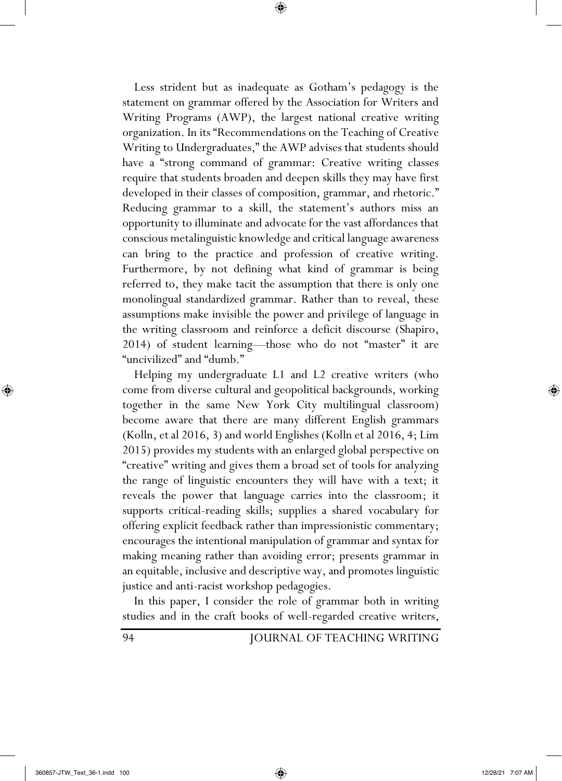Less strident but as inadequate as Gotham's pedagogy is the statement on grammar offered by the Association for Writers and Writing Programs (AWP), the largest national creative writing organization. In its "Recommendations on the Teaching of Creative Writing to Undergraduates," the AWP advises that students should have a "strong command of grammar: Creative writing classes require that students broaden and deepen skills they may have first developed in their classes of composition, grammar, and rhetoric." Reducing grammar to a skill, the statement's authors miss an opportunity to illuminate and advocate for the vast affordances that conscious metalinguistic knowledge and critical language awareness can bring to the practice and profession of creative writing. Furthermore, by not defining what kind of grammar is being referred to, they make tacit the assumption that there is only one monolingual standardized grammar. Rather than to reveal, these assumptions make invisible the power and privilege of language in the writing classroom and reinforce a deficit discourse (Shapiro, 2014) of student learning—those who do not "master" it are "uncivilized" and "dumb."

⊕

 Helping my undergraduate L1 and L2 creative writers (who come from diverse cultural and geopolitical backgrounds, working together in the same New York City multilingual classroom) become aware that there are many different English grammars (Kolln, et al 2016, 3) and world Englishes (Kolln et al 2016, 4; Lim 2015) provides my students with an enlarged global perspective on "creative" writing and gives them a broad set of tools for analyzing the range of linguistic encounters they will have with a text; it reveals the power that language carries into the classroom; it supports critical-reading skills; supplies a shared vocabulary for offering explicit feedback rather than impressionistic commentary; encourages the intentional manipulation of grammar and syntax for making meaning rather than avoiding error; presents grammar in an equitable, inclusive and descriptive way, and promotes linguistic justice and anti-racist workshop pedagogies.

 In this paper, I consider the role of grammar both in writing studies and in the craft books of well-regarded creative writers,

94 JOURNAL OF TEACHING WRITING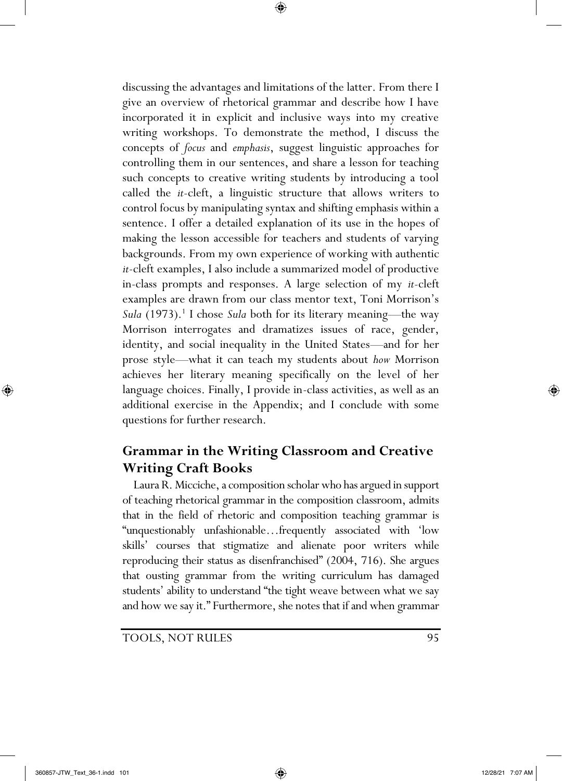discussing the advantages and limitations of the latter. From there I give an overview of rhetorical grammar and describe how I have incorporated it in explicit and inclusive ways into my creative writing workshops. To demonstrate the method, I discuss the concepts of *focus* and *emphasis*, suggest linguistic approaches for controlling them in our sentences, and share a lesson for teaching such concepts to creative writing students by introducing a tool called the *it-*cleft, a linguistic structure that allows writers to control focus by manipulating syntax and shifting emphasis within a sentence. I offer a detailed explanation of its use in the hopes of making the lesson accessible for teachers and students of varying backgrounds. From my own experience of working with authentic *it*-cleft examples, I also include a summarized model of productive in-class prompts and responses. A large selection of my *it-*cleft examples are drawn from our class mentor text, Toni Morrison's *Sula* (1973).<sup>1</sup> I chose *Sula* both for its literary meaning—the way Morrison interrogates and dramatizes issues of race, gender, identity, and social inequality in the United States—and for her prose style—what it can teach my students about *how* Morrison achieves her literary meaning specifically on the level of her language choices. Finally, I provide in-class activities, as well as an additional exercise in the Appendix; and I conclude with some questions for further research.

⊕

# **Grammar in the Writing Classroom and Creative Writing Craft Books**

 Laura R. Micciche, a composition scholar who has argued in support of teaching rhetorical grammar in the composition classroom, admits that in the field of rhetoric and composition teaching grammar is "unquestionably unfashionable…frequently associated with 'low skills' courses that stigmatize and alienate poor writers while reproducing their status as disenfranchised" (2004, 716). She argues that ousting grammar from the writing curriculum has damaged students' ability to understand "the tight weave between what we say and how we say it." Furthermore, she notes that if and when grammar

TOOLS, NOT RULES 95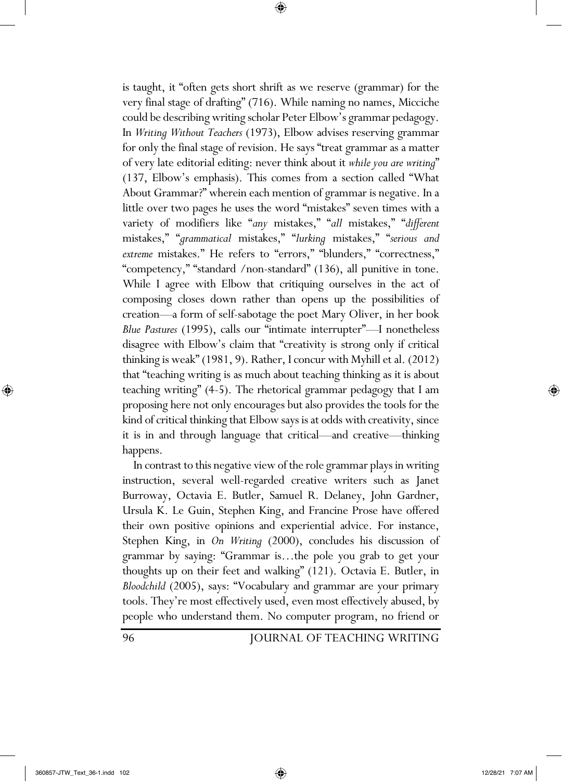is taught, it "often gets short shrift as we reserve (grammar) for the very final stage of drafting" (716). While naming no names, Micciche could be describing writing scholar Peter Elbow's grammar pedagogy. In *Writing Without Teachers* (1973), Elbow advises reserving grammar for only the final stage of revision. He says "treat grammar as a matter of very late editorial editing: never think about it *while you are writing*" (137, Elbow's emphasis). This comes from a section called "What About Grammar?" wherein each mention of grammar is negative. In a little over two pages he uses the word "mistakes" seven times with a variety of modifiers like "*any* mistakes," "*all* mistakes," "*different* mistakes," "*grammatical* mistakes," "*lurking* mistakes," "*serious and extreme* mistakes." He refers to "errors," "blunders," "correctness," "competency," "standard /non-standard" (136), all punitive in tone. While I agree with Elbow that critiquing ourselves in the act of composing closes down rather than opens up the possibilities of creation—a form of self-sabotage the poet Mary Oliver, in her book *Blue Pastures* (1995), calls our "intimate interrupter"—I nonetheless disagree with Elbow's claim that "creativity is strong only if critical thinking is weak" (1981, 9). Rather, I concur with Myhill et al. (2012) that "teaching writing is as much about teaching thinking as it is about teaching writing" (4-5). The rhetorical grammar pedagogy that I am proposing here not only encourages but also provides the tools for the kind of critical thinking that Elbow says is at odds with creativity, since it is in and through language that critical—and creative—thinking happens.

⊕

 In contrast to this negative view of the role grammar plays in writing instruction, several well-regarded creative writers such as Janet Burroway, Octavia E. Butler, Samuel R. Delaney, John Gardner, Ursula K. Le Guin, Stephen King, and Francine Prose have offered their own positive opinions and experiential advice. For instance, Stephen King, in *On Writing* (2000), concludes his discussion of grammar by saying: "Grammar is…the pole you grab to get your thoughts up on their feet and walking" (121). Octavia E. Butler, in *Bloodchild* (2005), says: "Vocabulary and grammar are your primary tools. They're most effectively used, even most effectively abused, by people who understand them. No computer program, no friend or

96 JOURNAL OF TEACHING WRITING

⊕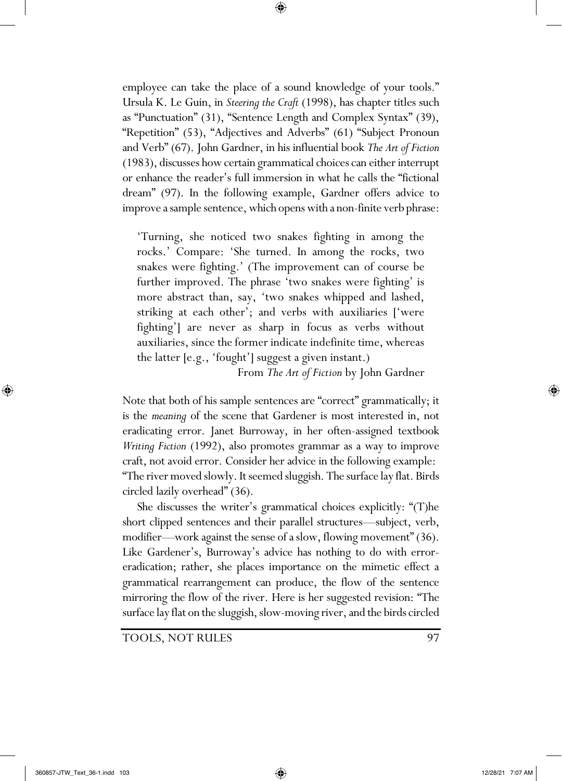employee can take the place of a sound knowledge of your tools." Ursula K. Le Guin, in *Steering the Craft* (1998), has chapter titles such as "Punctuation" (31), "Sentence Length and Complex Syntax" (39), "Repetition" (53), "Adjectives and Adverbs" (61) "Subject Pronoun and Verb" (67). John Gardner, in his influential book *The Art of Fiction* (1983), discusses how certain grammatical choices can either interrupt or enhance the reader's full immersion in what he calls the "fictional dream" (97). In the following example, Gardner offers advice to improve a sample sentence, which opens with a non-finite verb phrase:

⊕

'Turning, she noticed two snakes fighting in among the rocks.' Compare: 'She turned. In among the rocks, two snakes were fighting.' (The improvement can of course be further improved. The phrase 'two snakes were fighting' is more abstract than, say, 'two snakes whipped and lashed, striking at each other'; and verbs with auxiliaries ['were fighting'] are never as sharp in focus as verbs without auxiliaries, since the former indicate indefinite time, whereas the latter [e.g., 'fought'] suggest a given instant.)

From *The Art of Fiction* by John Gardner

Note that both of his sample sentences are "correct" grammatically; it is the *meaning* of the scene that Gardener is most interested in, not eradicating error. Janet Burroway, in her often-assigned textbook *Writing Fiction* (1992), also promotes grammar as a way to improve craft, not avoid error. Consider her advice in the following example: "The river moved slowly. It seemed sluggish. The surface lay flat. Birds circled lazily overhead" (36).

She discusses the writer's grammatical choices explicitly: "(T)he short clipped sentences and their parallel structures—subject, verb, modifier—work against the sense of a slow, flowing movement" (36). Like Gardener's, Burroway's advice has nothing to do with erroreradication; rather, she places importance on the mimetic effect a grammatical rearrangement can produce, the flow of the sentence mirroring the flow of the river. Here is her suggested revision: "The surface lay flat on the sluggish, slow-moving river, and the birds circled

TOOLS, NOT RULES 97

⊕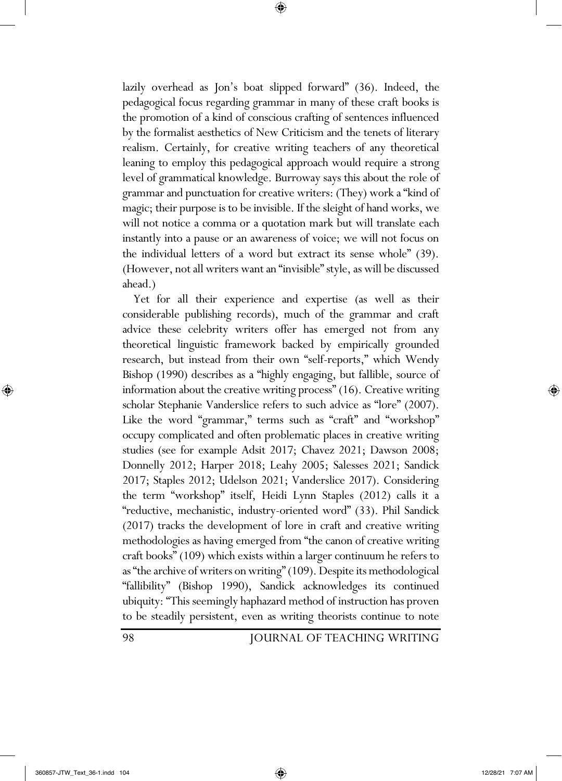lazily overhead as Jon's boat slipped forward" (36). Indeed, the pedagogical focus regarding grammar in many of these craft books is the promotion of a kind of conscious crafting of sentences influenced by the formalist aesthetics of New Criticism and the tenets of literary realism. Certainly, for creative writing teachers of any theoretical leaning to employ this pedagogical approach would require a strong level of grammatical knowledge. Burroway says this about the role of grammar and punctuation for creative writers: (They) work a "kind of magic; their purpose is to be invisible. If the sleight of hand works, we will not notice a comma or a quotation mark but will translate each instantly into a pause or an awareness of voice; we will not focus on the individual letters of a word but extract its sense whole" (39). (However, not all writers want an "invisible" style, as will be discussed ahead.)

⊕

 Yet for all their experience and expertise (as well as their considerable publishing records), much of the grammar and craft advice these celebrity writers offer has emerged not from any theoretical linguistic framework backed by empirically grounded research, but instead from their own "self-reports," which Wendy Bishop (1990) describes as a "highly engaging, but fallible, source of information about the creative writing process" (16). Creative writing scholar Stephanie Vanderslice refers to such advice as "lore" (2007). Like the word "grammar," terms such as "craft" and "workshop" occupy complicated and often problematic places in creative writing studies (see for example Adsit 2017; Chavez 2021; Dawson 2008; Donnelly 2012; Harper 2018; Leahy 2005; Salesses 2021; Sandick 2017; Staples 2012; Udelson 2021; Vanderslice 2017). Considering the term "workshop" itself, Heidi Lynn Staples (2012) calls it a "reductive, mechanistic, industry-oriented word" (33). Phil Sandick (2017) tracks the development of lore in craft and creative writing methodologies as having emerged from "the canon of creative writing craft books" (109) which exists within a larger continuum he refers to as "the archive of writers on writing" (109). Despite its methodological "fallibility" (Bishop 1990), Sandick acknowledges its continued ubiquity: "This seemingly haphazard method of instruction has proven to be steadily persistent, even as writing theorists continue to note

98 JOURNAL OF TEACHING WRITING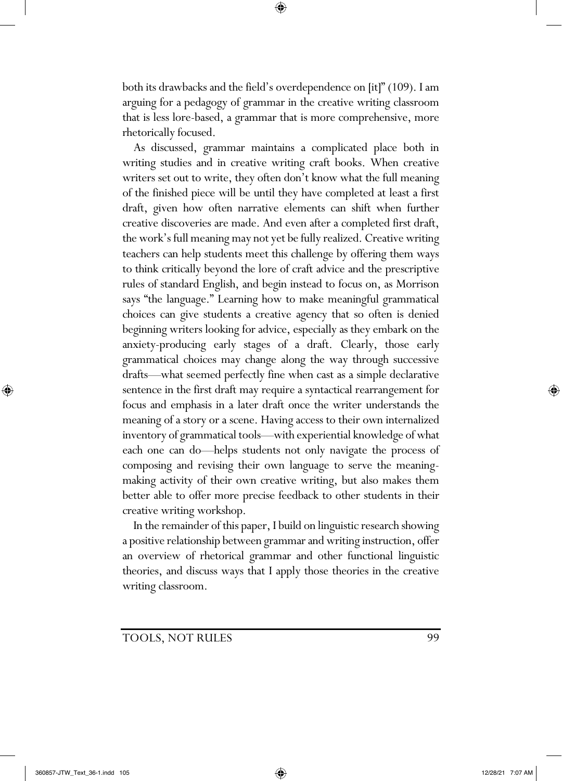both its drawbacks and the field's overdependence on [it]" (109). I am arguing for a pedagogy of grammar in the creative writing classroom that is less lore-based, a grammar that is more comprehensive, more rhetorically focused.

⊕

 As discussed, grammar maintains a complicated place both in writing studies and in creative writing craft books. When creative writers set out to write, they often don't know what the full meaning of the finished piece will be until they have completed at least a first draft, given how often narrative elements can shift when further creative discoveries are made. And even after a completed first draft, the work's full meaning may not yet be fully realized. Creative writing teachers can help students meet this challenge by offering them ways to think critically beyond the lore of craft advice and the prescriptive rules of standard English, and begin instead to focus on, as Morrison says "the language." Learning how to make meaningful grammatical choices can give students a creative agency that so often is denied beginning writers looking for advice, especially as they embark on the anxiety-producing early stages of a draft. Clearly, those early grammatical choices may change along the way through successive drafts—what seemed perfectly fine when cast as a simple declarative sentence in the first draft may require a syntactical rearrangement for focus and emphasis in a later draft once the writer understands the meaning of a story or a scene. Having access to their own internalized inventory of grammatical tools—with experiential knowledge of what each one can do—helps students not only navigate the process of composing and revising their own language to serve the meaningmaking activity of their own creative writing, but also makes them better able to offer more precise feedback to other students in their creative writing workshop.

 In the remainder of this paper, I build on linguistic research showing a positive relationship between grammar and writing instruction, offer an overview of rhetorical grammar and other functional linguistic theories, and discuss ways that I apply those theories in the creative writing classroom.

TOOLS, NOT RULES 99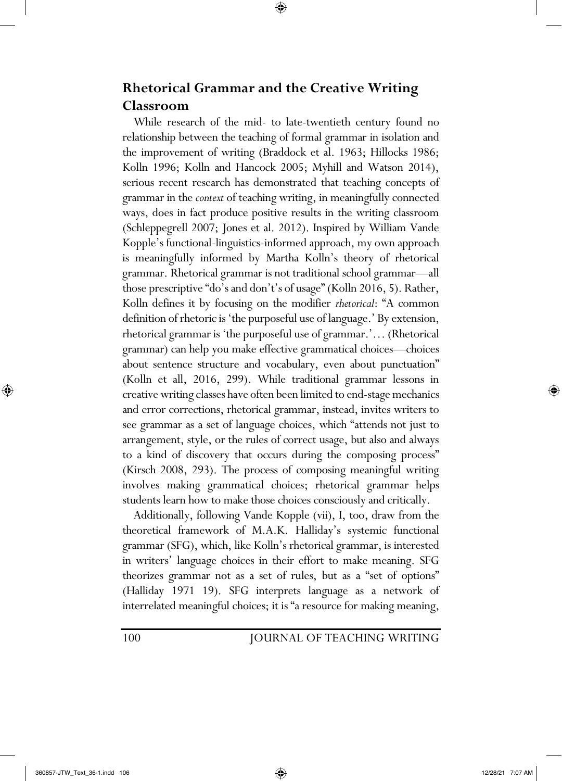# **Rhetorical Grammar and the Creative Writing Classroom**

⊕

 While research of the mid- to late-twentieth century found no relationship between the teaching of formal grammar in isolation and the improvement of writing (Braddock et al. 1963; Hillocks 1986; Kolln 1996; Kolln and Hancock 2005; Myhill and Watson 2014), serious recent research has demonstrated that teaching concepts of grammar in the *context* of teaching writing, in meaningfully connected ways, does in fact produce positive results in the writing classroom (Schleppegrell 2007; Jones et al. 2012). Inspired by William Vande Kopple's functional-linguistics-informed approach, my own approach is meaningfully informed by Martha Kolln's theory of rhetorical grammar. Rhetorical grammar is not traditional school grammar—all those prescriptive "do's and don't's of usage" (Kolln 2016, 5). Rather, Kolln defines it by focusing on the modifier *rhetorical*: "A common definition of rhetoric is 'the purposeful use of language.' By extension, rhetorical grammar is 'the purposeful use of grammar.'… (Rhetorical grammar) can help you make effective grammatical choices—choices about sentence structure and vocabulary, even about punctuation" (Kolln et all, 2016, 299). While traditional grammar lessons in creative writing classes have often been limited to end-stage mechanics and error corrections, rhetorical grammar, instead, invites writers to see grammar as a set of language choices, which "attends not just to arrangement, style, or the rules of correct usage, but also and always to a kind of discovery that occurs during the composing process" (Kirsch 2008, 293). The process of composing meaningful writing involves making grammatical choices; rhetorical grammar helps students learn how to make those choices consciously and critically.

 Additionally, following Vande Kopple (vii), I, too, draw from the theoretical framework of M.A.K. Halliday's systemic functional grammar (SFG), which, like Kolln's rhetorical grammar, is interested in writers' language choices in their effort to make meaning. SFG theorizes grammar not as a set of rules, but as a "set of options" (Halliday 1971 19). SFG interprets language as a network of interrelated meaningful choices; it is "a resource for making meaning,

## 100 JOURNAL OF TEACHING WRITING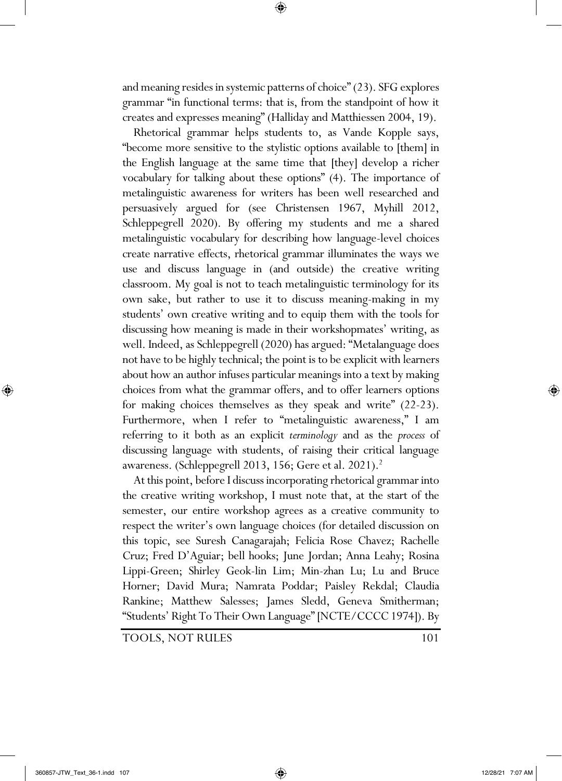and meaning resides in systemic patterns of choice" (23). SFG explores grammar "in functional terms: that is, from the standpoint of how it creates and expresses meaning" (Halliday and Matthiessen 2004, 19).

⊕

 Rhetorical grammar helps students to, as Vande Kopple says, "become more sensitive to the stylistic options available to [them] in the English language at the same time that [they] develop a richer vocabulary for talking about these options" (4). The importance of metalinguistic awareness for writers has been well researched and persuasively argued for (see Christensen 1967, Myhill 2012, Schleppegrell 2020). By offering my students and me a shared metalinguistic vocabulary for describing how language-level choices create narrative effects, rhetorical grammar illuminates the ways we use and discuss language in (and outside) the creative writing classroom. My goal is not to teach metalinguistic terminology for its own sake, but rather to use it to discuss meaning-making in my students' own creative writing and to equip them with the tools for discussing how meaning is made in their workshopmates' writing, as well. Indeed, as Schleppegrell (2020) has argued: "Metalanguage does not have to be highly technical; the point is to be explicit with learners about how an author infuses particular meanings into a text by making choices from what the grammar offers, and to offer learners options for making choices themselves as they speak and write" (22-23). Furthermore, when I refer to "metalinguistic awareness," I am referring to it both as an explicit *terminology* and as the *process* of discussing language with students, of raising their critical language awareness. (Schleppegrell 2013, 156; Gere et al. 2021).<sup>2</sup>

 At this point, before I discuss incorporating rhetorical grammar into the creative writing workshop, I must note that, at the start of the semester, our entire workshop agrees as a creative community to respect the writer's own language choices (for detailed discussion on this topic, see Suresh Canagarajah; Felicia Rose Chavez; Rachelle Cruz; Fred D'Aguiar; bell hooks; June Jordan; Anna Leahy; Rosina Lippi-Green; Shirley Geok-lin Lim; Min-zhan Lu; Lu and Bruce Horner; David Mura; Namrata Poddar; Paisley Rekdal; Claudia Rankine; Matthew Salesses; James Sledd, Geneva Smitherman; "Students' Right To Their Own Language" [NCTE/CCCC 1974]). By

TOOLS, NOT RULES 101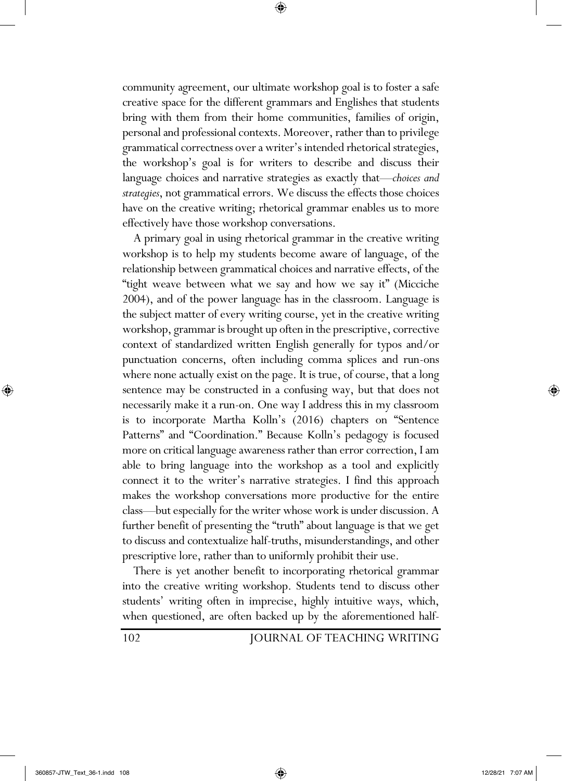community agreement, our ultimate workshop goal is to foster a safe creative space for the different grammars and Englishes that students bring with them from their home communities, families of origin, personal and professional contexts. Moreover, rather than to privilege grammatical correctness over a writer's intended rhetorical strategies, the workshop's goal is for writers to describe and discuss their language choices and narrative strategies as exactly that—*choices and strategies*, not grammatical errors. We discuss the effects those choices have on the creative writing; rhetorical grammar enables us to more effectively have those workshop conversations.

⊕

 A primary goal in using rhetorical grammar in the creative writing workshop is to help my students become aware of language, of the relationship between grammatical choices and narrative effects, of the "tight weave between what we say and how we say it" (Micciche 2004), and of the power language has in the classroom. Language is the subject matter of every writing course, yet in the creative writing workshop, grammar is brought up often in the prescriptive, corrective context of standardized written English generally for typos and/or punctuation concerns, often including comma splices and run-ons where none actually exist on the page. It is true, of course, that a long sentence may be constructed in a confusing way, but that does not necessarily make it a run-on. One way I address this in my classroom is to incorporate Martha Kolln's (2016) chapters on "Sentence Patterns" and "Coordination." Because Kolln's pedagogy is focused more on critical language awareness rather than error correction, I am able to bring language into the workshop as a tool and explicitly connect it to the writer's narrative strategies. I find this approach makes the workshop conversations more productive for the entire class—but especially for the writer whose work is under discussion. A further benefit of presenting the "truth" about language is that we get to discuss and contextualize half-truths, misunderstandings, and other prescriptive lore, rather than to uniformly prohibit their use.

 There is yet another benefit to incorporating rhetorical grammar into the creative writing workshop. Students tend to discuss other students' writing often in imprecise, highly intuitive ways, which, when questioned, are often backed up by the aforementioned half-

102 JOURNAL OF TEACHING WRITING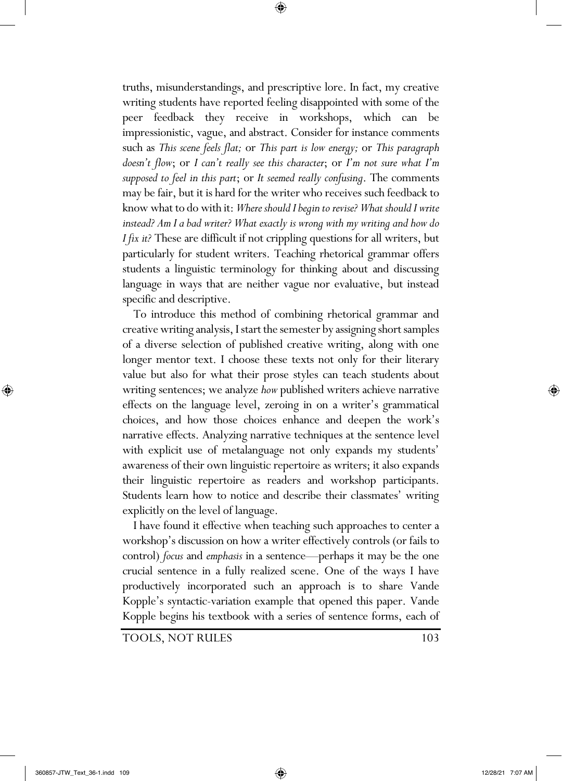truths, misunderstandings, and prescriptive lore. In fact, my creative writing students have reported feeling disappointed with some of the peer feedback they receive in workshops, which can be impressionistic, vague, and abstract. Consider for instance comments such as *This scene feels flat;* or *This part is low energy;* or *This paragraph doesn't flow*; or *I can't really see this character*; or *I'm not sure what I'm supposed to feel in this part*; or *It seemed really confusing*. The comments may be fair, but it is hard for the writer who receives such feedback to know what to do with it: *Where should I begin to revise? What should I write instead? Am I a bad writer? What exactly is wrong with my writing and how do I fix it?* These are difficult if not crippling questions for all writers, but particularly for student writers. Teaching rhetorical grammar offers students a linguistic terminology for thinking about and discussing language in ways that are neither vague nor evaluative, but instead specific and descriptive.

⊕

 To introduce this method of combining rhetorical grammar and creative writing analysis, I start the semester by assigning short samples of a diverse selection of published creative writing, along with one longer mentor text. I choose these texts not only for their literary value but also for what their prose styles can teach students about writing sentences; we analyze *how* published writers achieve narrative effects on the language level, zeroing in on a writer's grammatical choices, and how those choices enhance and deepen the work's narrative effects. Analyzing narrative techniques at the sentence level with explicit use of metalanguage not only expands my students' awareness of their own linguistic repertoire as writers; it also expands their linguistic repertoire as readers and workshop participants. Students learn how to notice and describe their classmates' writing explicitly on the level of language.

 I have found it effective when teaching such approaches to center a workshop's discussion on how a writer effectively controls (or fails to control) *focus* and *emphasis* in a sentence—perhaps it may be the one crucial sentence in a fully realized scene. One of the ways I have productively incorporated such an approach is to share Vande Kopple's syntactic-variation example that opened this paper. Vande Kopple begins his textbook with a series of sentence forms, each of

TOOLS, NOT RULES 103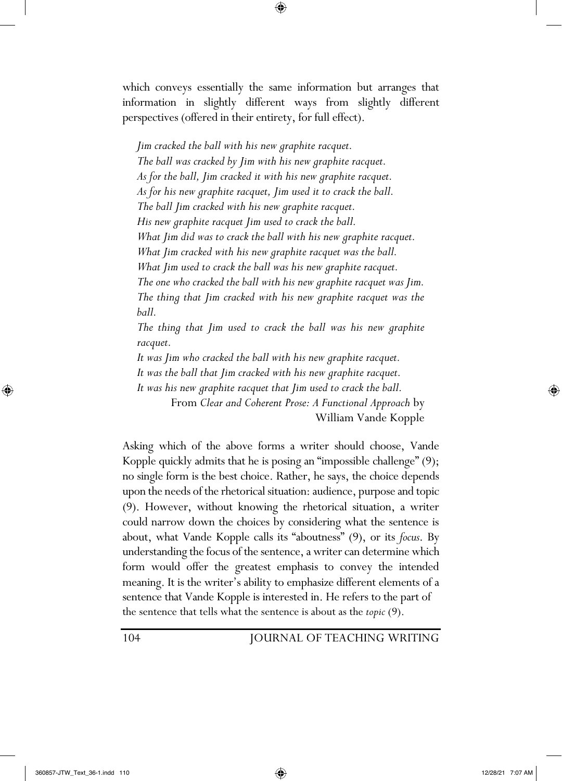which conveys essentially the same information but arranges that information in slightly different ways from slightly different perspectives (offered in their entirety, for full effect).

⊕

*Jim cracked the ball with his new graphite racquet. The ball was cracked by Jim with his new graphite racquet. As for the ball, Jim cracked it with his new graphite racquet. As for his new graphite racquet, Jim used it to crack the ball. The ball Jim cracked with his new graphite racquet. His new graphite racquet Jim used to crack the ball. What Jim did was to crack the ball with his new graphite racquet. What Jim cracked with his new graphite racquet was the ball. What Jim used to crack the ball was his new graphite racquet. The one who cracked the ball with his new graphite racquet was Jim. The thing that Jim cracked with his new graphite racquet was the ball.*

*The thing that Jim used to crack the ball was his new graphite racquet.*

*It was Jim who cracked the ball with his new graphite racquet.*

*It was the ball that Jim cracked with his new graphite racquet.*

*It was his new graphite racquet that Jim used to crack the ball.* 

From *Clear and Coherent Prose: A Functional Approach* by William Vande Kopple

Asking which of the above forms a writer should choose, Vande Kopple quickly admits that he is posing an "impossible challenge" (9); no single form is the best choice. Rather, he says, the choice depends upon the needs of the rhetorical situation: audience, purpose and topic (9). However, without knowing the rhetorical situation, a writer could narrow down the choices by considering what the sentence is about, what Vande Kopple calls its "aboutness" (9), or its *focus*. By understanding the focus of the sentence, a writer can determine which form would offer the greatest emphasis to convey the intended meaning. It is the writer's ability to emphasize different elements of a sentence that Vande Kopple is interested in. He refers to the part of the sentence that tells what the sentence is about as the *topic* (9).

104 JOURNAL OF TEACHING WRITING

⊕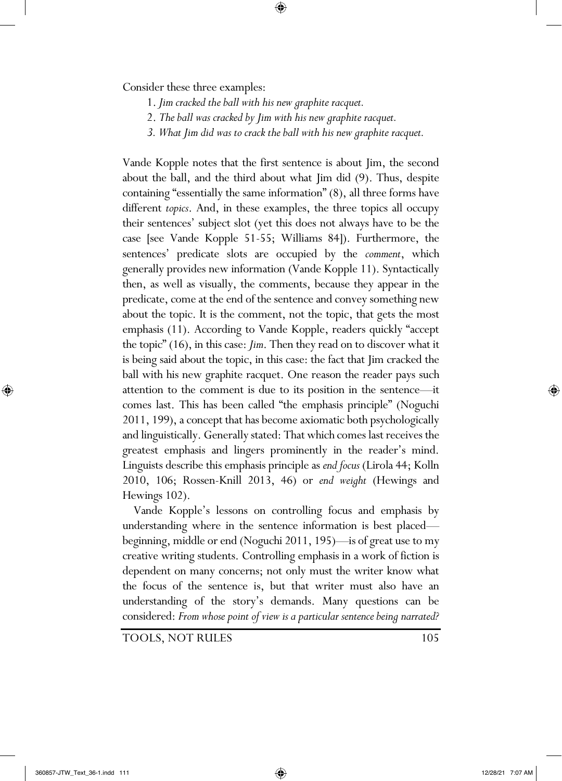Consider these three examples:

- 1. *Jim cracked the ball with his new graphite racquet.*
- 2. *The ball was cracked by Jim with his new graphite racquet.*
- *3. What Jim did was to crack the ball with his new graphite racquet.*

⊕

Vande Kopple notes that the first sentence is about Jim, the second about the ball, and the third about what Jim did (9). Thus, despite containing "essentially the same information" (8), all three forms have different *topics*. And, in these examples, the three topics all occupy their sentences' subject slot (yet this does not always have to be the case [see Vande Kopple 51-55; Williams 84]). Furthermore, the sentences' predicate slots are occupied by the *comment*, which generally provides new information (Vande Kopple 11). Syntactically then, as well as visually, the comments, because they appear in the predicate, come at the end of the sentence and convey something new about the topic. It is the comment, not the topic, that gets the most emphasis (11). According to Vande Kopple, readers quickly "accept the topic" (16), in this case: *Jim*. Then they read on to discover what it is being said about the topic, in this case: the fact that Jim cracked the ball with his new graphite racquet. One reason the reader pays such attention to the comment is due to its position in the sentence—it comes last. This has been called "the emphasis principle" (Noguchi 2011, 199), a concept that has become axiomatic both psychologically and linguistically. Generally stated: That which comes last receives the greatest emphasis and lingers prominently in the reader's mind. Linguists describe this emphasis principle as *end focus* (Lirola 44; Kolln 2010, 106; Rossen-Knill 2013, 46) or *end weight* (Hewings and Hewings 102).

 Vande Kopple's lessons on controlling focus and emphasis by understanding where in the sentence information is best placed beginning, middle or end (Noguchi 2011, 195)—is of great use to my creative writing students. Controlling emphasis in a work of fiction is dependent on many concerns; not only must the writer know what the focus of the sentence is, but that writer must also have an understanding of the story's demands. Many questions can be considered: *From whose point of view is a particular sentence being narrated?* 

TOOLS, NOT RULES 105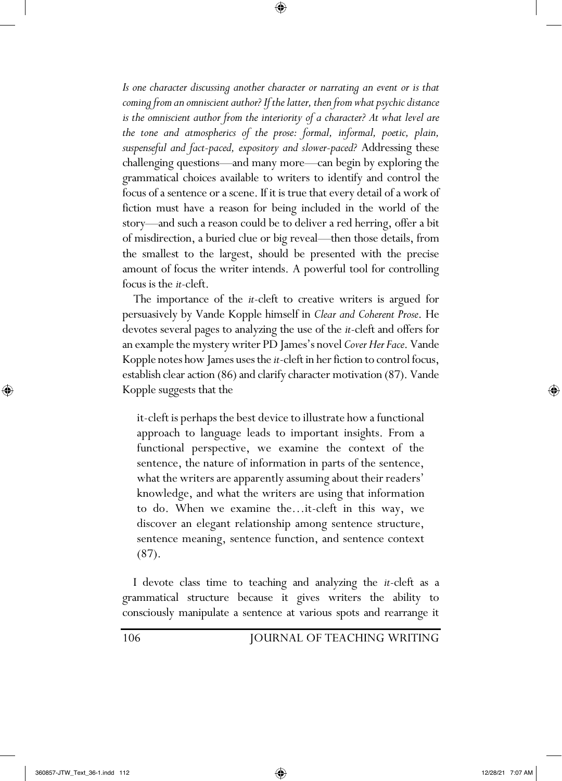*Is one character discussing another character or narrating an event or is that coming from an omniscient author? If the latter, then from what psychic distance*  is the omniscient author from the interiority of a character? At what level are *the tone and atmospherics of the prose: formal, informal, poetic, plain, suspenseful and fact-paced, expository and slower-paced?* Addressing these challenging questions—and many more—can begin by exploring the grammatical choices available to writers to identify and control the focus of a sentence or a scene. If it is true that every detail of a work of fiction must have a reason for being included in the world of the story—and such a reason could be to deliver a red herring, offer a bit of misdirection, a buried clue or big reveal—then those details, from the smallest to the largest, should be presented with the precise amount of focus the writer intends. A powerful tool for controlling focus is the *it*-cleft.

⊕

 The importance of the *it*-cleft to creative writers is argued for persuasively by Vande Kopple himself in *Clear and Coherent Prose*. He devotes several pages to analyzing the use of the *it*-cleft and offers for an example the mystery writer PD James's novel *Cover Her Face*. Vande Kopple notes how James uses the *it*-cleft in her fiction to control focus, establish clear action (86) and clarify character motivation (87). Vande Kopple suggests that the

it-cleft is perhaps the best device to illustrate how a functional approach to language leads to important insights. From a functional perspective, we examine the context of the sentence, the nature of information in parts of the sentence, what the writers are apparently assuming about their readers' knowledge, and what the writers are using that information to do. When we examine the…it-cleft in this way, we discover an elegant relationship among sentence structure, sentence meaning, sentence function, and sentence context (87).

 I devote class time to teaching and analyzing the *it*-cleft as a grammatical structure because it gives writers the ability to consciously manipulate a sentence at various spots and rearrange it

106 JOURNAL OF TEACHING WRITING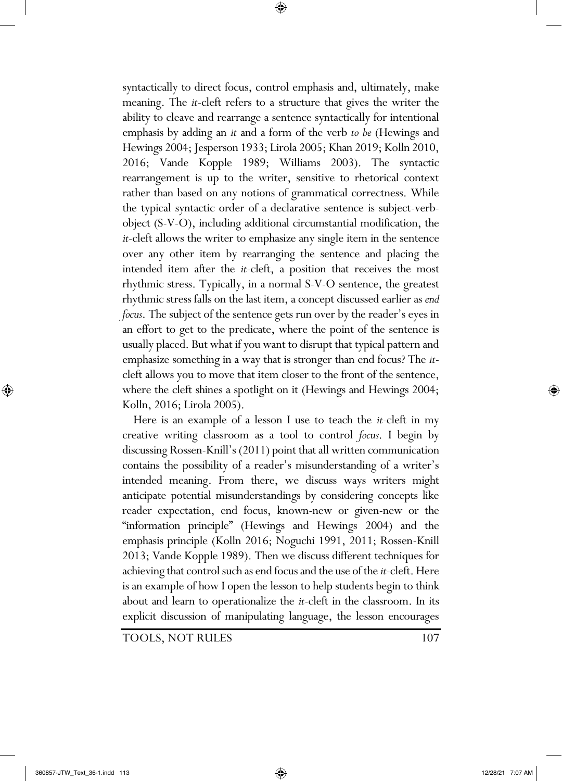syntactically to direct focus, control emphasis and, ultimately, make meaning. The *it-*cleft refers to a structure that gives the writer the ability to cleave and rearrange a sentence syntactically for intentional emphasis by adding an *it* and a form of the verb *to be* (Hewings and Hewings 2004; Jesperson 1933; Lirola 2005; Khan 2019; Kolln 2010, 2016; Vande Kopple 1989; Williams 2003). The syntactic rearrangement is up to the writer, sensitive to rhetorical context rather than based on any notions of grammatical correctness. While the typical syntactic order of a declarative sentence is subject-verbobject (S-V-O), including additional circumstantial modification, the *it*-cleft allows the writer to emphasize any single item in the sentence over any other item by rearranging the sentence and placing the intended item after the *it*-cleft, a position that receives the most rhythmic stress. Typically, in a normal S-V-O sentence, the greatest rhythmic stress falls on the last item, a concept discussed earlier as *end focus*. The subject of the sentence gets run over by the reader's eyes in an effort to get to the predicate, where the point of the sentence is usually placed. But what if you want to disrupt that typical pattern and emphasize something in a way that is stronger than end focus? The *it*cleft allows you to move that item closer to the front of the sentence, where the cleft shines a spotlight on it (Hewings and Hewings 2004; Kolln, 2016; Lirola 2005).

⊕

 Here is an example of a lesson I use to teach the *it*-cleft in my creative writing classroom as a tool to control *focus*. I begin by discussing Rossen-Knill's (2011) point that all written communication contains the possibility of a reader's misunderstanding of a writer's intended meaning. From there, we discuss ways writers might anticipate potential misunderstandings by considering concepts like reader expectation, end focus, known-new or given-new or the "information principle" (Hewings and Hewings 2004) and the emphasis principle (Kolln 2016; Noguchi 1991, 2011; Rossen-Knill 2013; Vande Kopple 1989). Then we discuss different techniques for achieving that control such as end focus and the use of the *it*-cleft. Here is an example of how I open the lesson to help students begin to think about and learn to operationalize the *it*-cleft in the classroom. In its explicit discussion of manipulating language, the lesson encourages

TOOLS, NOT RULES 107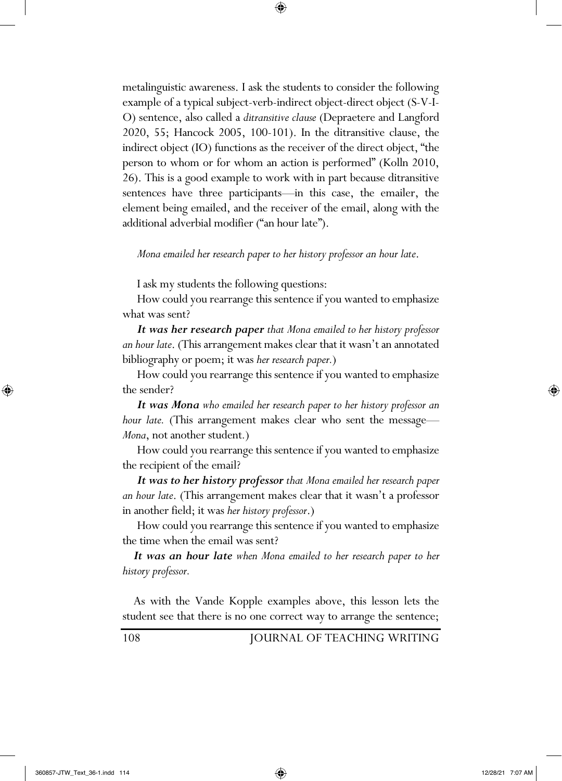metalinguistic awareness. I ask the students to consider the following example of a typical subject-verb-indirect object-direct object (S-V-I-O) sentence, also called a *ditransitive clause* (Depraetere and Langford 2020, 55; Hancock 2005, 100-101). In the ditransitive clause, the indirect object (IO) functions as the receiver of the direct object, "the person to whom or for whom an action is performed" (Kolln 2010, 26). This is a good example to work with in part because ditransitive sentences have three participants—in this case, the emailer, the element being emailed, and the receiver of the email, along with the additional adverbial modifier ("an hour late").

⊕

## *Mona emailed her research paper to her history professor an hour late*.

I ask my students the following questions:

How could you rearrange this sentence if you wanted to emphasize what was sent?

*It was her research paper that Mona emailed to her history professor an hour late*. (This arrangement makes clear that it wasn't an annotated bibliography or poem; it was *her research paper.*)

How could you rearrange this sentence if you wanted to emphasize the sender?

*It was Mona who emailed her research paper to her history professor an hour late.* (This arrangement makes clear who sent the message— *Mona*, not another student*.*)

How could you rearrange this sentence if you wanted to emphasize the recipient of the email?

*It was to her history professor that Mona emailed her research paper an hour late*. (This arrangement makes clear that it wasn't a professor in another field; it was *her history professor*.)

How could you rearrange this sentence if you wanted to emphasize the time when the email was sent?

 *It was an hour late when Mona emailed to her research paper to her history professor.*

 As with the Vande Kopple examples above, this lesson lets the student see that there is no one correct way to arrange the sentence;

108 JOURNAL OF TEACHING WRITING

⊕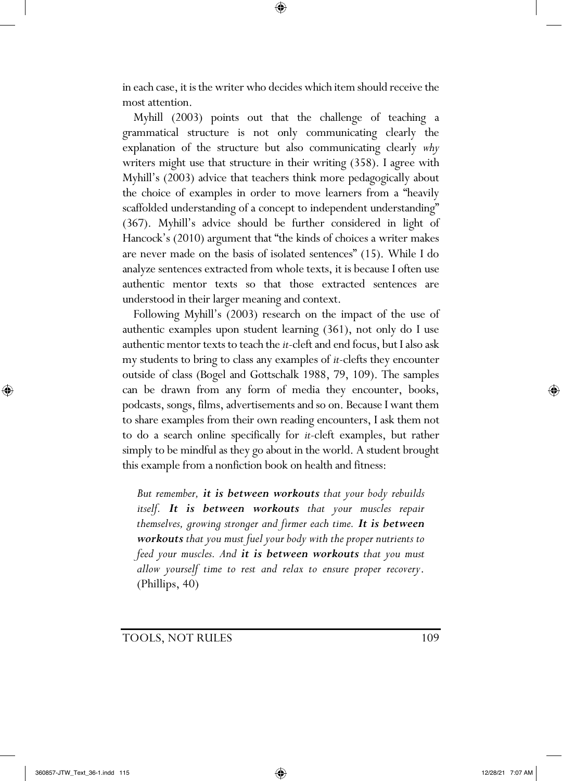in each case, it is the writer who decides which item should receive the most attention.

⊕

 Myhill (2003) points out that the challenge of teaching a grammatical structure is not only communicating clearly the explanation of the structure but also communicating clearly *why* writers might use that structure in their writing (358). I agree with Myhill's (2003) advice that teachers think more pedagogically about the choice of examples in order to move learners from a "heavily scaffolded understanding of a concept to independent understanding" (367). Myhill's advice should be further considered in light of Hancock's (2010) argument that "the kinds of choices a writer makes are never made on the basis of isolated sentences" (15). While I do analyze sentences extracted from whole texts, it is because I often use authentic mentor texts so that those extracted sentences are understood in their larger meaning and context.

 Following Myhill's (2003) research on the impact of the use of authentic examples upon student learning (361), not only do I use authentic mentor texts to teach the *it*-cleft and end focus, but I also ask my students to bring to class any examples of *it*-clefts they encounter outside of class (Bogel and Gottschalk 1988, 79, 109). The samples can be drawn from any form of media they encounter, books, podcasts, songs, films, advertisements and so on. Because I want them to share examples from their own reading encounters, I ask them not to do a search online specifically for *it*-cleft examples, but rather simply to be mindful as they go about in the world. A student brought this example from a nonfiction book on health and fitness:

*But remember, it is between workouts that your body rebuilds itself. It is between workouts that your muscles repair themselves, growing stronger and firmer each time. It is between workouts that you must fuel your body with the proper nutrients to feed your muscles. And it is between workouts that you must allow yourself time to rest and relax to ensure proper recovery*. (Phillips, 40)

TOOLS, NOT RULES 109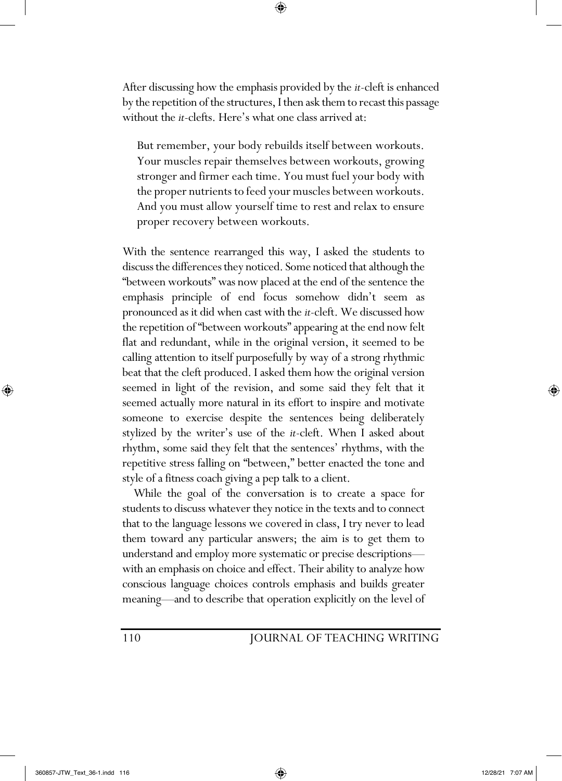After discussing how the emphasis provided by the *it*-cleft is enhanced by the repetition of the structures, I then ask them to recast this passage without the *it*-clefts. Here's what one class arrived at:

⊕

But remember, your body rebuilds itself between workouts. Your muscles repair themselves between workouts, growing stronger and firmer each time. You must fuel your body with the proper nutrients to feed your muscles between workouts. And you must allow yourself time to rest and relax to ensure proper recovery between workouts.

With the sentence rearranged this way, I asked the students to discuss the differences they noticed. Some noticed that although the "between workouts" was now placed at the end of the sentence the emphasis principle of end focus somehow didn't seem as pronounced as it did when cast with the *it*-cleft. We discussed how the repetition of "between workouts" appearing at the end now felt flat and redundant, while in the original version, it seemed to be calling attention to itself purposefully by way of a strong rhythmic beat that the cleft produced. I asked them how the original version seemed in light of the revision, and some said they felt that it seemed actually more natural in its effort to inspire and motivate someone to exercise despite the sentences being deliberately stylized by the writer's use of the *it*-cleft. When I asked about rhythm, some said they felt that the sentences' rhythms, with the repetitive stress falling on "between," better enacted the tone and style of a fitness coach giving a pep talk to a client.

 While the goal of the conversation is to create a space for students to discuss whatever they notice in the texts and to connect that to the language lessons we covered in class, I try never to lead them toward any particular answers; the aim is to get them to understand and employ more systematic or precise descriptions with an emphasis on choice and effect. Their ability to analyze how conscious language choices controls emphasis and builds greater meaning—and to describe that operation explicitly on the level of

## 110 JOURNAL OF TEACHING WRITING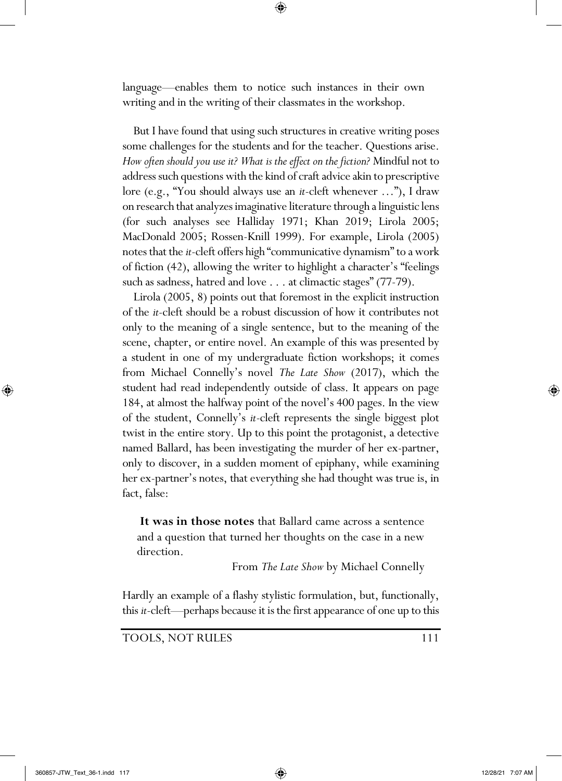language—enables them to notice such instances in their own writing and in the writing of their classmates in the workshop.

⊕

 But I have found that using such structures in creative writing poses some challenges for the students and for the teacher. Questions arise. *How often should you use it? What is the effect on the fiction?* Mindful not to address such questions with the kind of craft advice akin to prescriptive lore (e.g., "You should always use an *it*-cleft whenever …"), I draw on research that analyzes imaginative literature through a linguistic lens (for such analyses see Halliday 1971; Khan 2019; Lirola 2005; MacDonald 2005; Rossen-Knill 1999). For example, Lirola (2005) notes that the *it*-cleft offers high "communicative dynamism" to a work of fiction (42), allowing the writer to highlight a character's "feelings such as sadness, hatred and love . . . at climactic stages" (77-79).

 Lirola (2005, 8) points out that foremost in the explicit instruction of the *it*-cleft should be a robust discussion of how it contributes not only to the meaning of a single sentence, but to the meaning of the scene, chapter, or entire novel. An example of this was presented by a student in one of my undergraduate fiction workshops; it comes from Michael Connelly's novel *The Late Show* (2017), which the student had read independently outside of class. It appears on page 184, at almost the halfway point of the novel's 400 pages. In the view of the student, Connelly's *it*-cleft represents the single biggest plot twist in the entire story. Up to this point the protagonist, a detective named Ballard, has been investigating the murder of her ex-partner, only to discover, in a sudden moment of epiphany, while examining her ex-partner's notes, that everything she had thought was true is, in fact, false:

**It was in those notes** that Ballard came across a sentence and a question that turned her thoughts on the case in a new direction.

From *The Late Show* by Michael Connelly

Hardly an example of a flashy stylistic formulation, but, functionally, this *it*-cleft—perhaps because it is the first appearance of one up to this

TOOLS, NOT RULES 111

⊕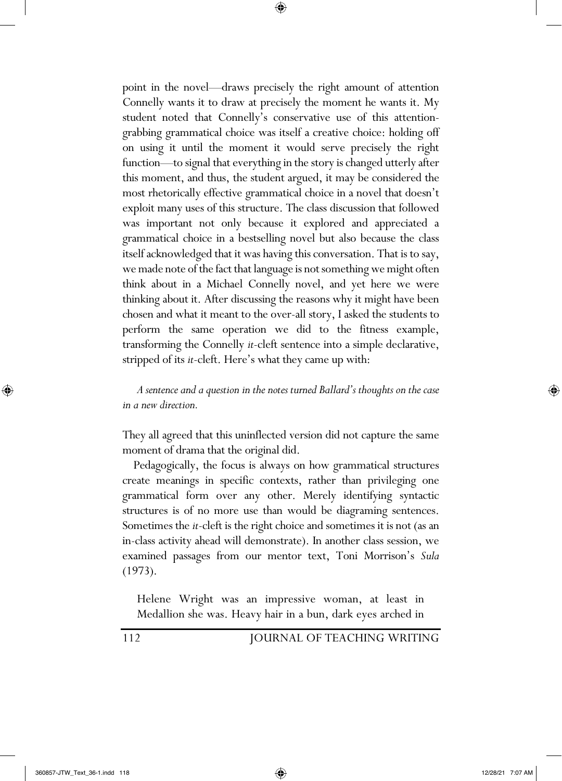point in the novel—draws precisely the right amount of attention Connelly wants it to draw at precisely the moment he wants it. My student noted that Connelly's conservative use of this attentiongrabbing grammatical choice was itself a creative choice: holding off on using it until the moment it would serve precisely the right function—to signal that everything in the story is changed utterly after this moment, and thus, the student argued, it may be considered the most rhetorically effective grammatical choice in a novel that doesn't exploit many uses of this structure. The class discussion that followed was important not only because it explored and appreciated a grammatical choice in a bestselling novel but also because the class itself acknowledged that it was having this conversation. That is to say, we made note of the fact that language is not something we might often think about in a Michael Connelly novel, and yet here we were thinking about it. After discussing the reasons why it might have been chosen and what it meant to the over-all story, I asked the students to perform the same operation we did to the fitness example, transforming the Connelly *it*-cleft sentence into a simple declarative, stripped of its *it*-cleft. Here's what they came up with:

⊕

*A sentence and a question in the notes turned Ballard's thoughts on the case in a new direction.*

They all agreed that this uninflected version did not capture the same moment of drama that the original did.

 Pedagogically, the focus is always on how grammatical structures create meanings in specific contexts, rather than privileging one grammatical form over any other. Merely identifying syntactic structures is of no more use than would be diagraming sentences. Sometimes the *it*-cleft is the right choice and sometimes it is not (as an in-class activity ahead will demonstrate). In another class session, we examined passages from our mentor text, Toni Morrison's *Sula* (1973).

Helene Wright was an impressive woman, at least in Medallion she was. Heavy hair in a bun, dark eyes arched in

112 JOURNAL OF TEACHING WRITING

⊕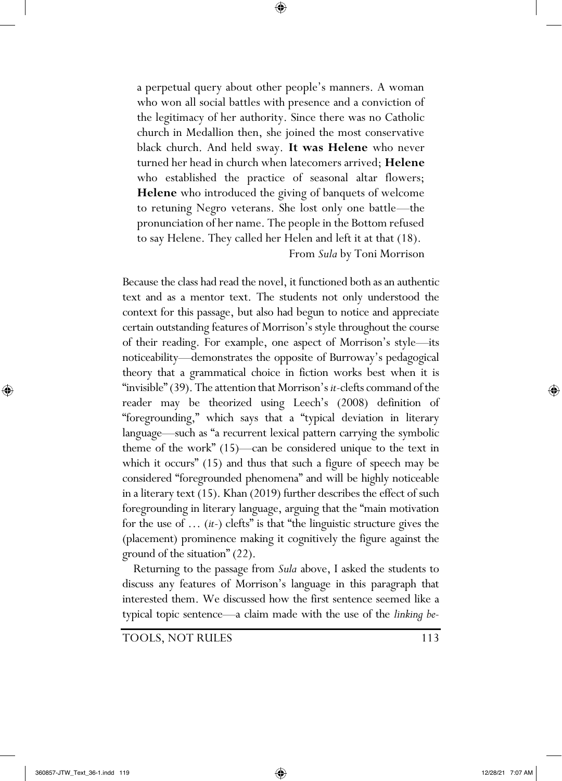a perpetual query about other people's manners. A woman who won all social battles with presence and a conviction of the legitimacy of her authority. Since there was no Catholic church in Medallion then, she joined the most conservative black church. And held sway. **It was Helene** who never turned her head in church when latecomers arrived; **Helene** who established the practice of seasonal altar flowers; **Helene** who introduced the giving of banquets of welcome to retuning Negro veterans. She lost only one battle—the pronunciation of her name. The people in the Bottom refused to say Helene. They called her Helen and left it at that (18). From *Sula* by Toni Morrison

⊕

Because the class had read the novel, it functioned both as an authentic text and as a mentor text. The students not only understood the context for this passage, but also had begun to notice and appreciate certain outstanding features of Morrison's style throughout the course of their reading. For example, one aspect of Morrison's style—its noticeability—demonstrates the opposite of Burroway's pedagogical theory that a grammatical choice in fiction works best when it is "invisible" (39). The attention that Morrison's *it*-clefts command of the reader may be theorized using Leech's (2008) definition of "foregrounding," which says that a "typical deviation in literary language—such as "a recurrent lexical pattern carrying the symbolic theme of the work" (15)—can be considered unique to the text in which it occurs" (15) and thus that such a figure of speech may be considered "foregrounded phenomena" and will be highly noticeable in a literary text (15). Khan (2019) further describes the effect of such foregrounding in literary language, arguing that the "main motivation for the use of … (*it*-) clefts" is that "the linguistic structure gives the (placement) prominence making it cognitively the figure against the ground of the situation" (22).

 Returning to the passage from *Sula* above, I asked the students to discuss any features of Morrison's language in this paragraph that interested them. We discussed how the first sentence seemed like a typical topic sentence—a claim made with the use of the *linking be*-

TOOLS, NOT RULES 113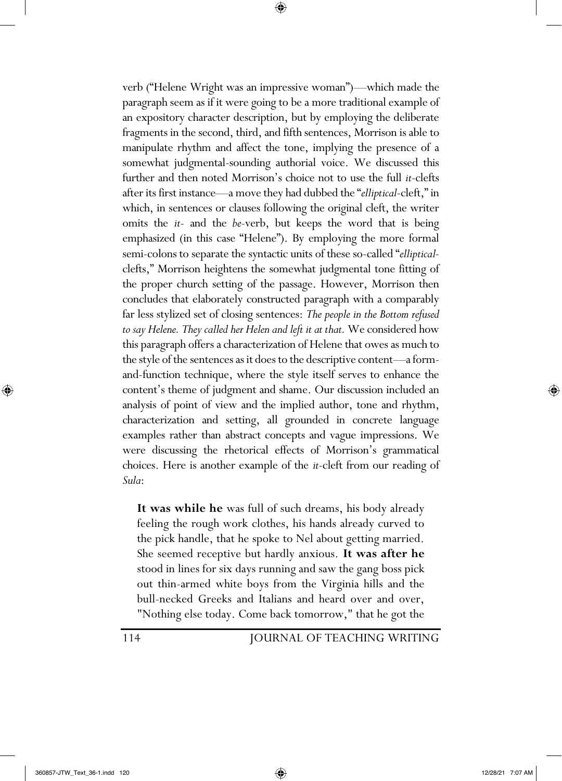verb ("Helene Wright was an impressive woman")—which made the paragraph seem as if it were going to be a more traditional example of an expository character description, but by employing the deliberate fragments in the second, third, and fifth sentences, Morrison is able to manipulate rhythm and affect the tone, implying the presence of a somewhat judgmental-sounding authorial voice. We discussed this further and then noted Morrison's choice not to use the full *it*-clefts after its first instance—a move they had dubbed the "*elliptical*-cleft," in which, in sentences or clauses following the original cleft, the writer omits the *it-* and the *be-*verb, but keeps the word that is being emphasized (in this case "Helene"). By employing the more formal semi-colons to separate the syntactic units of these so-called "*elliptical*clefts," Morrison heightens the somewhat judgmental tone fitting of the proper church setting of the passage. However, Morrison then concludes that elaborately constructed paragraph with a comparably far less stylized set of closing sentences: *The people in the Bottom refused to say Helene. They called her Helen and left it at that.* We considered how this paragraph offers a characterization of Helene that owes as much to the style of the sentences as it does to the descriptive content—a formand-function technique, where the style itself serves to enhance the content's theme of judgment and shame. Our discussion included an analysis of point of view and the implied author, tone and rhythm, characterization and setting, all grounded in concrete language examples rather than abstract concepts and vague impressions. We were discussing the rhetorical effects of Morrison's grammatical choices. Here is another example of the *it*-cleft from our reading of *Sula*:

⊕

**It was while he** was full of such dreams, his body already feeling the rough work clothes, his hands already curved to the pick handle, that he spoke to Nel about getting married. She seemed receptive but hardly anxious. **It was after he** stood in lines for six days running and saw the gang boss pick out thin-armed white boys from the Virginia hills and the bull-necked Greeks and Italians and heard over and over, "Nothing else today. Come back tomorrow," that he got the

114 JOURNAL OF TEACHING WRITING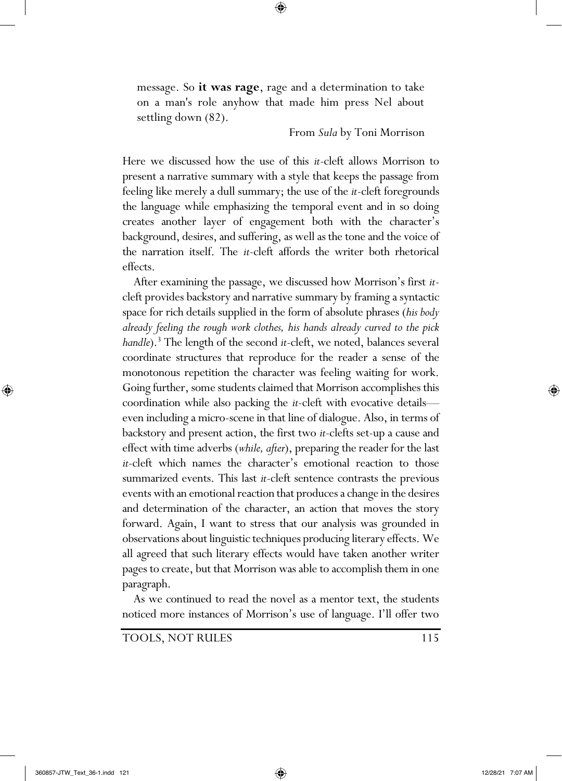message. So **it was rage**, rage and a determination to take on a man's role anyhow that made him press Nel about settling down (82).

⊕

## From *Sula* by Toni Morrison

Here we discussed how the use of this *it*-cleft allows Morrison to present a narrative summary with a style that keeps the passage from feeling like merely a dull summary; the use of the *it*-cleft foregrounds the language while emphasizing the temporal event and in so doing creates another layer of engagement both with the character's background, desires, and suffering, as well as the tone and the voice of the narration itself. The *it*-cleft affords the writer both rhetorical effects.

 After examining the passage, we discussed how Morrison's first *it*cleft provides backstory and narrative summary by framing a syntactic space for rich details supplied in the form of absolute phrases (*his body already feeling the rough work clothes, his hands already curved to the pick handle*).<sup>3</sup> The length of the second *it*-cleft, we noted, balances several coordinate structures that reproduce for the reader a sense of the monotonous repetition the character was feeling waiting for work. Going further, some students claimed that Morrison accomplishes this coordination while also packing the *it*-cleft with evocative details even including a micro-scene in that line of dialogue. Also, in terms of backstory and present action, the first two *it*-clefts set-up a cause and effect with time adverbs (*while, after*), preparing the reader for the last *it*-cleft which names the character's emotional reaction to those summarized events. This last *it*-cleft sentence contrasts the previous events with an emotional reaction that produces a change in the desires and determination of the character, an action that moves the story forward. Again, I want to stress that our analysis was grounded in observations about linguistic techniques producing literary effects. We all agreed that such literary effects would have taken another writer pages to create, but that Morrison was able to accomplish them in one paragraph.

 As we continued to read the novel as a mentor text, the students noticed more instances of Morrison's use of language. I'll offer two

TOOLS, NOT RULES 115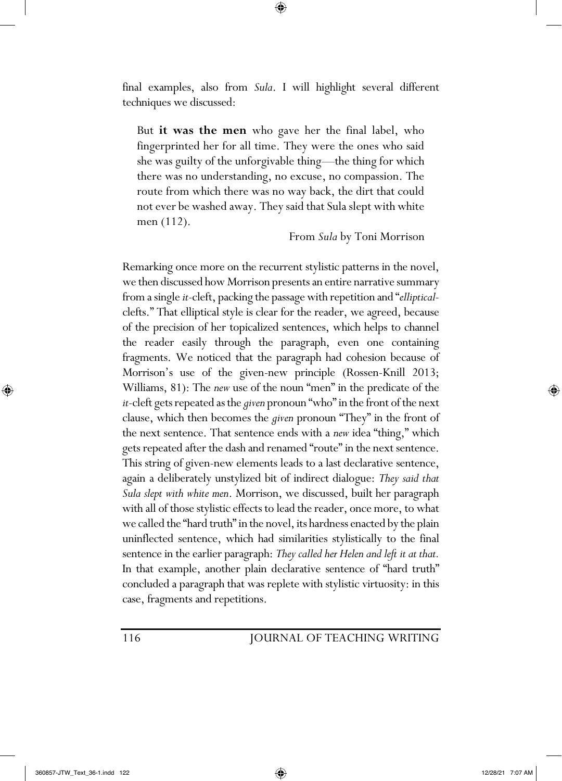final examples, also from *Sula*. I will highlight several different techniques we discussed:

⊕

But **it was the men** who gave her the final label, who fingerprinted her for all time. They were the ones who said she was guilty of the unforgivable thing—the thing for which there was no understanding, no excuse, no compassion. The route from which there was no way back, the dirt that could not ever be washed away. They said that Sula slept with white men (112).

From *Sula* by Toni Morrison

Remarking once more on the recurrent stylistic patterns in the novel, we then discussed how Morrison presents an entire narrative summary from a single *it*-cleft, packing the passage with repetition and "*elliptical*clefts." That elliptical style is clear for the reader, we agreed, because of the precision of her topicalized sentences, which helps to channel the reader easily through the paragraph, even one containing fragments. We noticed that the paragraph had cohesion because of Morrison's use of the given-new principle (Rossen-Knill 2013; Williams, 81): The *new* use of the noun "men" in the predicate of the *it*-cleft gets repeated as the *given* pronoun "who" in the front of the next clause, which then becomes the *given* pronoun "They" in the front of the next sentence. That sentence ends with a *new* idea "thing," which gets repeated after the dash and renamed "route" in the next sentence. This string of given-new elements leads to a last declarative sentence, again a deliberately unstylized bit of indirect dialogue: *They said that Sula slept with white men*. Morrison, we discussed, built her paragraph with all of those stylistic effects to lead the reader, once more, to what we called the "hard truth" in the novel, its hardness enacted by the plain uninflected sentence, which had similarities stylistically to the final sentence in the earlier paragraph: *They called her Helen and left it at that.* In that example, another plain declarative sentence of "hard truth" concluded a paragraph that was replete with stylistic virtuosity: in this case, fragments and repetitions.

## 116 JOURNAL OF TEACHING WRITING

⊕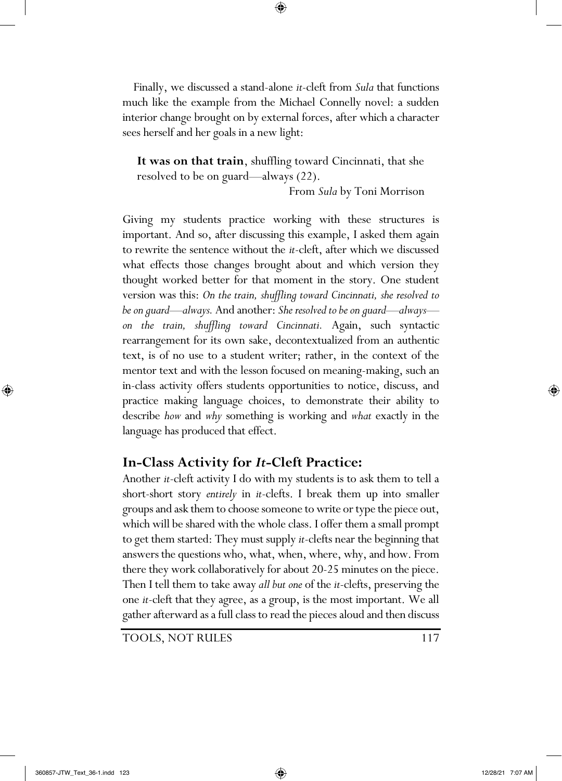Finally, we discussed a stand-alone *it*-cleft from *Sula* that functions much like the example from the Michael Connelly novel: a sudden interior change brought on by external forces, after which a character sees herself and her goals in a new light:

⊕

**It was on that train**, shuffling toward Cincinnati, that she resolved to be on guard—always (22).

From *Sula* by Toni Morrison

Giving my students practice working with these structures is important. And so, after discussing this example, I asked them again to rewrite the sentence without the *it*-cleft, after which we discussed what effects those changes brought about and which version they thought worked better for that moment in the story. One student version was this: *On the train, shuffling toward Cincinnati, she resolved to be on guard—always.* And another: *She resolved to be on guard—always on the train, shuffling toward Cincinnati.* Again, such syntactic rearrangement for its own sake, decontextualized from an authentic text, is of no use to a student writer; rather, in the context of the mentor text and with the lesson focused on meaning-making, such an in-class activity offers students opportunities to notice, discuss, and practice making language choices, to demonstrate their ability to describe *how* and *why* something is working and *what* exactly in the language has produced that effect.

## **In-Class Activity for** *It***-Cleft Practice:**

Another *it*-cleft activity I do with my students is to ask them to tell a short-short story *entirely* in *it*-clefts. I break them up into smaller groups and ask them to choose someone to write or type the piece out, which will be shared with the whole class. I offer them a small prompt to get them started: They must supply *it*-clefts near the beginning that answers the questions who, what, when, where, why, and how. From there they work collaboratively for about 20-25 minutes on the piece. Then I tell them to take away *all but one* of the *it*-clefts, preserving the one *it*-cleft that they agree, as a group, is the most important. We all gather afterward as a full class to read the pieces aloud and then discuss

TOOLS, NOT RULES 117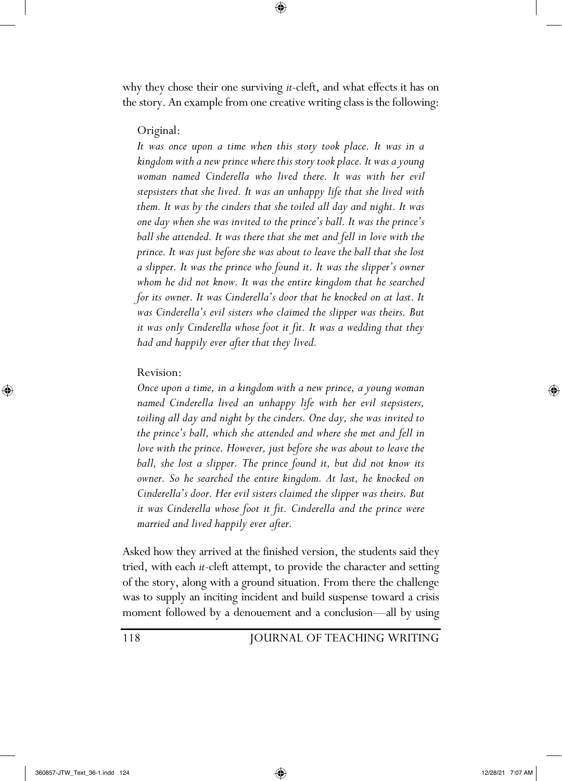why they chose their one surviving *it*-cleft, and what effects it has on the story. An example from one creative writing class is the following:

⊕

## Original:

It was once upon a time when this story took place. It was in a *kingdom with a new prince where this story took place. It was a young woman named Cinderella who lived there. It was with her evil stepsisters that she lived. It was an unhappy life that she lived with them. It was by the cinders that she toiled all day and night. It was one day when she was invited to the prince's ball. It was the prince's ball she attended. It was there that she met and fell in love with the prince. It was just before she was about to leave the ball that she lost a slipper. It was the prince who found it. It was the slipper's owner whom he did not know. It was the entire kingdom that he searched for its owner. It was Cinderella's door that he knocked on at last. It was Cinderella's evil sisters who claimed the slipper was theirs. But it was only Cinderella whose foot it fit. It was a wedding that they had and happily ever after that they lived.*

## Revision:

*Once upon a time, in a kingdom with a new prince, a young woman named Cinderella lived an unhappy life with her evil stepsisters, toiling all day and night by the cinders. One day, she was invited to the prince's ball, which she attended and where she met and fell in love with the prince. However, just before she was about to leave the ball, she lost a slipper. The prince found it, but did not know its owner. So he searched the entire kingdom. At last, he knocked on Cinderella's door. Her evil sisters claimed the slipper was theirs. But it was Cinderella whose foot it fit. Cinderella and the prince were married and lived happily ever after.* 

Asked how they arrived at the finished version, the students said they tried, with each *it*-cleft attempt, to provide the character and setting of the story, along with a ground situation. From there the challenge was to supply an inciting incident and build suspense toward a crisis moment followed by a denouement and a conclusion—all by using

118 JOURNAL OF TEACHING WRITING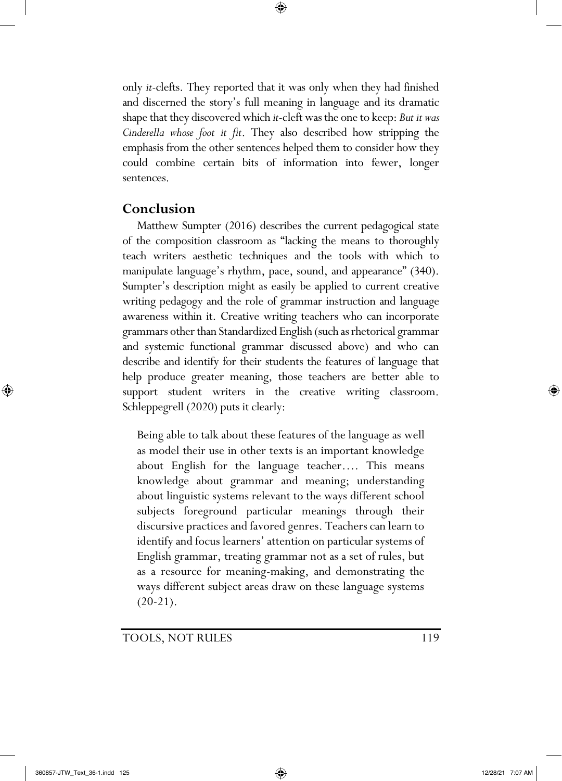only *it*-clefts. They reported that it was only when they had finished and discerned the story's full meaning in language and its dramatic shape that they discovered which *it*-cleft was the one to keep: *But it was Cinderella whose foot it fit*. They also described how stripping the emphasis from the other sentences helped them to consider how they could combine certain bits of information into fewer, longer sentences.

⊕

## **Conclusion**

Matthew Sumpter (2016) describes the current pedagogical state of the composition classroom as "lacking the means to thoroughly teach writers aesthetic techniques and the tools with which to manipulate language's rhythm, pace, sound, and appearance" (340). Sumpter's description might as easily be applied to current creative writing pedagogy and the role of grammar instruction and language awareness within it. Creative writing teachers who can incorporate grammars other than Standardized English (such as rhetorical grammar and systemic functional grammar discussed above) and who can describe and identify for their students the features of language that help produce greater meaning, those teachers are better able to support student writers in the creative writing classroom. Schleppegrell (2020) puts it clearly:

Being able to talk about these features of the language as well as model their use in other texts is an important knowledge about English for the language teacher…. This means knowledge about grammar and meaning; understanding about linguistic systems relevant to the ways different school subjects foreground particular meanings through their discursive practices and favored genres. Teachers can learn to identify and focus learners' attention on particular systems of English grammar, treating grammar not as a set of rules, but as a resource for meaning-making, and demonstrating the ways different subject areas draw on these language systems  $(20-21).$ 

## TOOLS, NOT RULES 119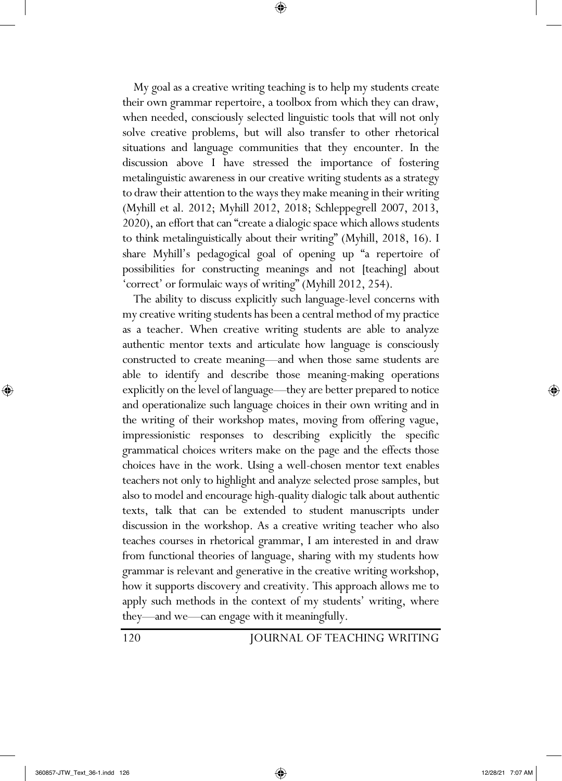My goal as a creative writing teaching is to help my students create their own grammar repertoire, a toolbox from which they can draw, when needed, consciously selected linguistic tools that will not only solve creative problems, but will also transfer to other rhetorical situations and language communities that they encounter. In the discussion above I have stressed the importance of fostering metalinguistic awareness in our creative writing students as a strategy to draw their attention to the ways they make meaning in their writing (Myhill et al. 2012; Myhill 2012, 2018; Schleppegrell 2007, 2013, 2020), an effort that can "create a dialogic space which allows students to think metalinguistically about their writing" (Myhill, 2018, 16). I share Myhill's pedagogical goal of opening up "a repertoire of possibilities for constructing meanings and not [teaching] about 'correct' or formulaic ways of writing" (Myhill 2012, 254).

⊕

 The ability to discuss explicitly such language-level concerns with my creative writing students has been a central method of my practice as a teacher. When creative writing students are able to analyze authentic mentor texts and articulate how language is consciously constructed to create meaning—and when those same students are able to identify and describe those meaning-making operations explicitly on the level of language—they are better prepared to notice and operationalize such language choices in their own writing and in the writing of their workshop mates, moving from offering vague, impressionistic responses to describing explicitly the specific grammatical choices writers make on the page and the effects those choices have in the work. Using a well-chosen mentor text enables teachers not only to highlight and analyze selected prose samples, but also to model and encourage high-quality dialogic talk about authentic texts, talk that can be extended to student manuscripts under discussion in the workshop. As a creative writing teacher who also teaches courses in rhetorical grammar, I am interested in and draw from functional theories of language, sharing with my students how grammar is relevant and generative in the creative writing workshop, how it supports discovery and creativity. This approach allows me to apply such methods in the context of my students' writing, where they—and we—can engage with it meaningfully.

120 JOURNAL OF TEACHING WRITING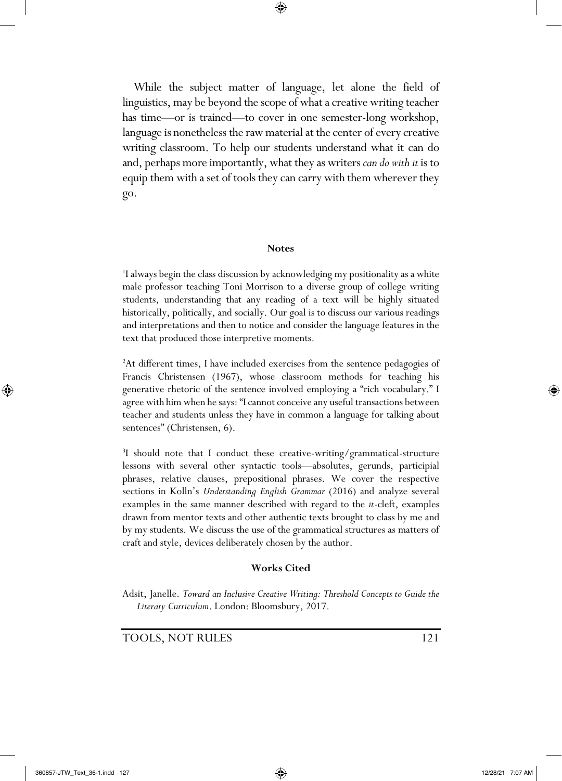⊕

 While the subject matter of language, let alone the field of linguistics, may be beyond the scope of what a creative writing teacher has time—or is trained—to cover in one semester-long workshop, language is nonetheless the raw material at the center of every creative writing classroom. To help our students understand what it can do and, perhaps more importantly, what they as writers *can do with it* is to equip them with a set of tools they can carry with them wherever they go.

#### **Notes**

<sup>1</sup>I always begin the class discussion by acknowledging my positionality as a white male professor teaching Toni Morrison to a diverse group of college writing students, understanding that any reading of a text will be highly situated historically, politically, and socially. Our goal is to discuss our various readings and interpretations and then to notice and consider the language features in the text that produced those interpretive moments.

<sup>2</sup>At different times, I have included exercises from the sentence pedagogies of Francis Christensen (1967), whose classroom methods for teaching his generative rhetoric of the sentence involved employing a "rich vocabulary." I agree with him when he says: "I cannot conceive any useful transactions between teacher and students unless they have in common a language for talking about sentences" (Christensen, 6).

<sup>3</sup>I should note that I conduct these creative-writing/grammatical-structure lessons with several other syntactic tools—absolutes, gerunds, participial phrases, relative clauses, prepositional phrases. We cover the respective sections in Kolln's *Understanding English Grammar* (2016) and analyze several examples in the same manner described with regard to the *it*-cleft, examples drawn from mentor texts and other authentic texts brought to class by me and by my students. We discuss the use of the grammatical structures as matters of craft and style, devices deliberately chosen by the author.

#### **Works Cited**

Adsit, Janelle. *Toward an Inclusive Creative Writing: Threshold Concepts to Guide the Literary Curriculum*. London: Bloomsbury, 2017.

TOOLS, NOT RULES 121

⊕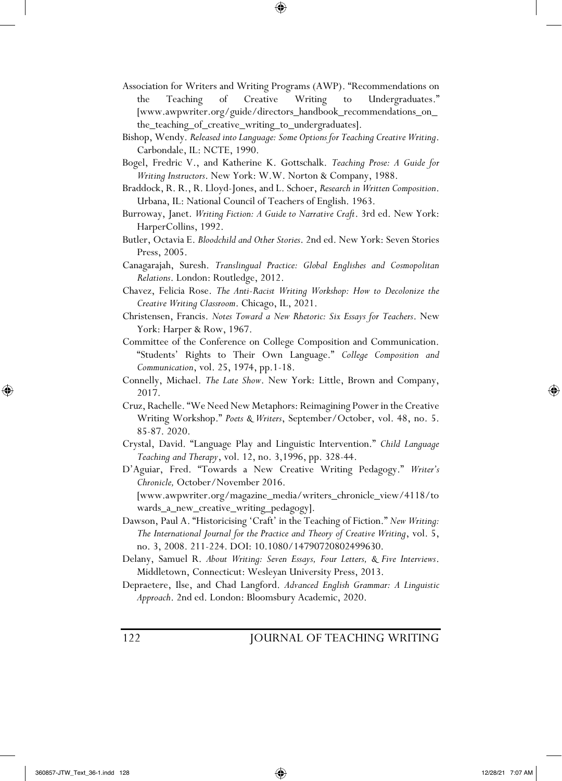Association for Writers and Writing Programs (AWP). "Recommendations on the Teaching of Creative Writing to Undergraduates." [www.awpwriter.org/guide/directors\_handbook\_recommendations\_on\_ the\_teaching\_of\_creative\_writing\_to\_undergraduates].

⊕

- Bishop, Wendy. *Released into Language: Some Options for Teaching Creative Writing*. Carbondale, IL: NCTE, 1990.
- Bogel, Fredric V., and Katherine K. Gottschalk. *Teaching Prose: A Guide for Writing Instructors*. New York: W.W. Norton & Company, 1988.
- Braddock, R. R., R. Lloyd-Jones, and L. Schoer, *Research in Written Composition*. Urbana, IL: National Council of Teachers of English. 1963.
- Burroway, Janet. *Writing Fiction: A Guide to Narrative Craft*. 3rd ed. New York: HarperCollins, 1992.
- Butler, Octavia E. *Bloodchild and Other Stories*. 2nd ed. New York: Seven Stories Press, 2005.
- Canagarajah, Suresh. *Translingual Practice: Global Englishes and Cosmopolitan Relations*. London: Routledge, 2012.
- Chavez, Felicia Rose. *The Anti-Racist Writing Workshop: How to Decolonize the Creative Writing Classroom*. Chicago, IL, 2021.
- Christensen, Francis. *Notes Toward a New Rhetoric: Six Essays for Teachers*. New York: Harper & Row, 1967.
- Committee of the Conference on College Composition and Communication. "Students' Rights to Their Own Language." *College Composition and Communication*, vol. 25, 1974, pp.1-18.
- Connelly, Michael. *The Late Show*. New York: Little, Brown and Company, 2017.
- Cruz, Rachelle. "We Need New Metaphors: Reimagining Power in the Creative Writing Workshop." *Poets & Writers*, September/October, vol. 48, no. 5. 85-87. 2020.
- Crystal, David. "Language Play and Linguistic Intervention." *Child Language Teaching and Therapy*, vol. 12, no. 3,1996, pp. 328-44.
- D'Aguiar, Fred. "Towards a New Creative Writing Pedagogy." *Writer's Chronicle,* October/November 2016. [www.awpwriter.org/magazine\_media/writers\_chronicle\_view/4118/to

wards\_a\_new\_creative\_writing\_pedagogy].

Dawson, Paul A. "Historicising 'Craft' in the Teaching of Fiction." *New Writing: The International Journal for the Practice and Theory of Creative Writing*, vol. 5, no. 3, 2008. 211-224. DOI: 10.1080/14790720802499630.

Delany, Samuel R. *About Writing: Seven Essays, Four Letters, & Five Interviews*. Middletown, Connecticut: Wesleyan University Press, 2013.

Depraetere, Ilse, and Chad Langford. *Advanced English Grammar: A Linguistic Approach*. 2nd ed. London: Bloomsbury Academic, 2020.

122 JOURNAL OF TEACHING WRITING

⊕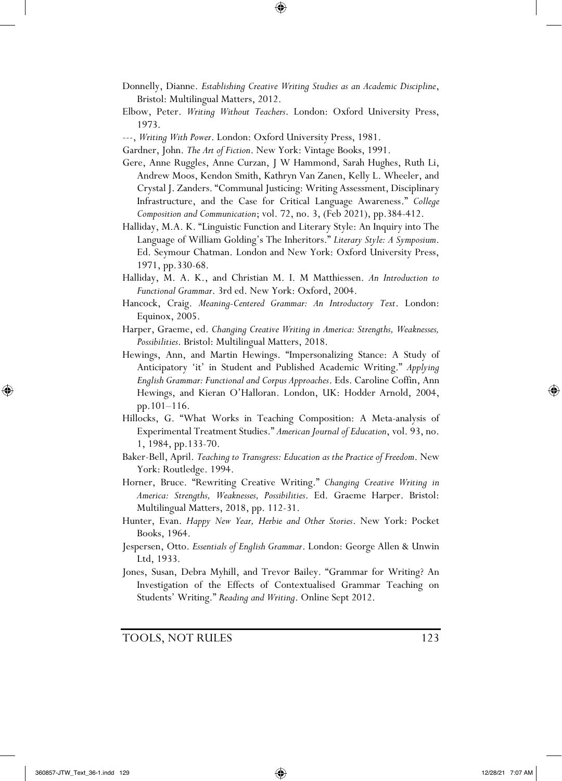Donnelly, Dianne. *Establishing Creative Writing Studies as an Academic Discipline*, Bristol: Multilingual Matters, 2012.

⊕

- Elbow, Peter. *Writing Without Teachers*. London: Oxford University Press, 1973.
- ---, *Writing With Power*. London: Oxford University Press, 1981.

Gardner, John. *The Art of Fiction*. New York: Vintage Books, 1991.

- Gere, Anne Ruggles, Anne Curzan, J W Hammond, Sarah Hughes, Ruth Li, Andrew Moos, Kendon Smith, Kathryn Van Zanen, Kelly L. Wheeler, and Crystal J. Zanders. "Communal Justicing: Writing Assessment, Disciplinary Infrastructure, and the Case for Critical Language Awareness." *College Composition and Communication*; vol. 72, no. 3, (Feb 2021), pp.384-412.
- Halliday, M.A. K. "Linguistic Function and Literary Style: An Inquiry into The Language of William Golding's The Inheritors." *Literary Style: A Symposium*. Ed. Seymour Chatman. London and New York: Oxford University Press, 1971, pp.330-68.
- Halliday, M. A. K., and Christian M. I. M Matthiessen. *An Introduction to Functional Grammar*. 3rd ed. New York: Oxford, 2004.
- Hancock, Craig. *Meaning-Centered Grammar: An Introductory Text*. London: Equinox, 2005.
- Harper, Graeme, ed. *Changing Creative Writing in America: Strengths, Weaknesses, Possibilities*. Bristol: Multilingual Matters, 2018.
- Hewings, Ann, and Martin Hewings. "Impersonalizing Stance: A Study of Anticipatory 'it' in Student and Published Academic Writing." *Applying English Grammar: Functional and Corpus Approaches*. Eds. Caroline Coffin, Ann Hewings, and Kieran O'Halloran. London, UK: Hodder Arnold, 2004, pp.101–116.
- Hillocks, G. "What Works in Teaching Composition: A Meta-analysis of Experimental Treatment Studies." *American Journal of Education*, vol. 93, no. 1, 1984, pp.133-70.
- Baker-Bell, April. *Teaching to Transgress: Education as the Practice of Freedom*. New York: Routledge. 1994.
- Horner, Bruce. "Rewriting Creative Writing." *Changing Creative Writing in America: Strengths, Weaknesses, Possibilities*. Ed. Graeme Harper. Bristol: Multilingual Matters, 2018, pp. 112-31.
- Hunter, Evan. *Happy New Year, Herbie and Other Stories*. New York: Pocket Books, 1964.
- Jespersen, Otto. *Essentials of English Grammar*. London: George Allen & Unwin Ltd, 1933.
- Jones, Susan, Debra Myhill, and Trevor Bailey. "Grammar for Writing? An Investigation of the Effects of Contextualised Grammar Teaching on Students' Writing." *Reading and Writing*. Online Sept 2012.

TOOLS, NOT RULES 123

⊕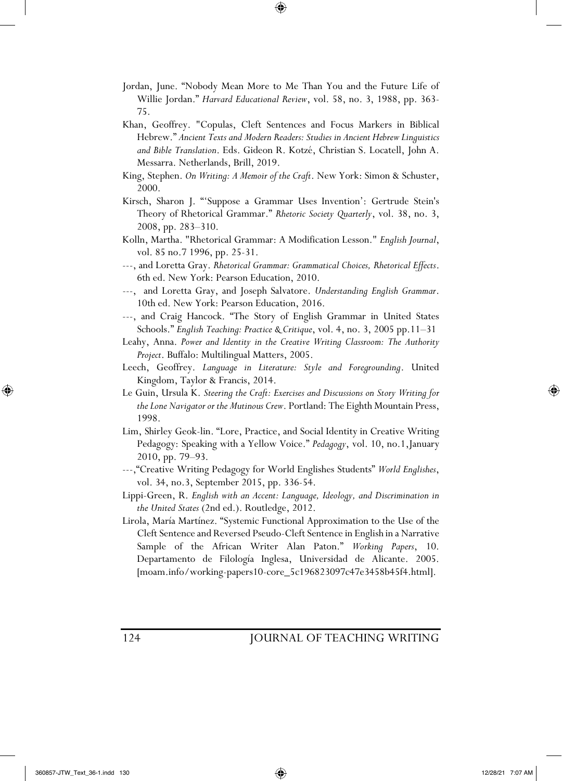Jordan, June. "Nobody Mean More to Me Than You and the Future Life of Willie Jordan." *Harvard Educational Review*, vol. 58, no. 3, 1988, pp. 363- 75.

⊕

- Khan, Geoffrey. "Copulas, Cleft Sentences and Focus Markers in Biblical Hebrew." *Ancient Texts and Modern Readers: Studies in Ancient Hebrew Linguistics and Bible Translation*. Eds. Gideon R. Kotzé, Christian S. Locatell, John A. Messarra. Netherlands, Brill, 2019.
- King, Stephen. *On Writing: A Memoir of the Craft*. New York: Simon & Schuster, 2000.
- Kirsch, Sharon J. "'Suppose a Grammar Uses Invention': Gertrude Stein's Theory of Rhetorical Grammar." *Rhetoric Society Quarterly*, vol. 38, no. 3, 2008, pp. 283–310.
- Kolln, Martha. "Rhetorical Grammar: A Modification Lesson." *English Journal*, vol. 85 no.7 1996, pp. 25-31.
- ---, and Loretta Gray. *Rhetorical Grammar: Grammatical Choices, Rhetorical Effects*. 6th ed. New York: Pearson Education, 2010.
- ---, and Loretta Gray, and Joseph Salvatore. *Understanding English Grammar*. 10th ed. New York: Pearson Education, 2016.
- ---, and Craig Hancock. "The Story of English Grammar in United States Schools." *English Teaching: Practice & Critique*, vol. 4, no. 3, 2005 pp.11–31
- Leahy, Anna. *Power and Identity in the Creative Writing Classroom: The Authority Project*. Buffalo: Multilingual Matters, 2005.
- Leech, Geoffrey. *Language in Literature: Style and Foregrounding*. United Kingdom, Taylor & Francis, 2014.
- Le Guin, Ursula K. *Steering the Craft: Exercises and Discussions on Story Writing for the Lone Navigator or the Mutinous Crew*. Portland: The Eighth Mountain Press, 1998.
- Lim, Shirley Geok-lin. "Lore, Practice, and Social Identity in Creative Writing Pedagogy: Speaking with a Yellow Voice." *Pedagogy*, vol. 10, no.1,January 2010, pp. 79–93.
- ---,"Creative Writing Pedagogy for World Englishes Students" *World Englishes*, vol. 34, no.3, September 2015, pp. 336-54.

Lippi-Green, R. *English with an Accent: Language, Ideology, and Discrimination in the United States* (2nd ed.). Routledge, 2012.

Lirola, María Martínez. "Systemic Functional Approximation to the Use of the Cleft Sentence and Reversed Pseudo-Cleft Sentence in English in a Narrative Sample of the African Writer Alan Paton." *Working Papers*, 10. Departamento de Filología Inglesa, Universidad de Alicante. 2005. [moam.info/working-papers10-core\_5c196823097c47e3458b45f4.html].

## 124 JOURNAL OF TEACHING WRITING

⊕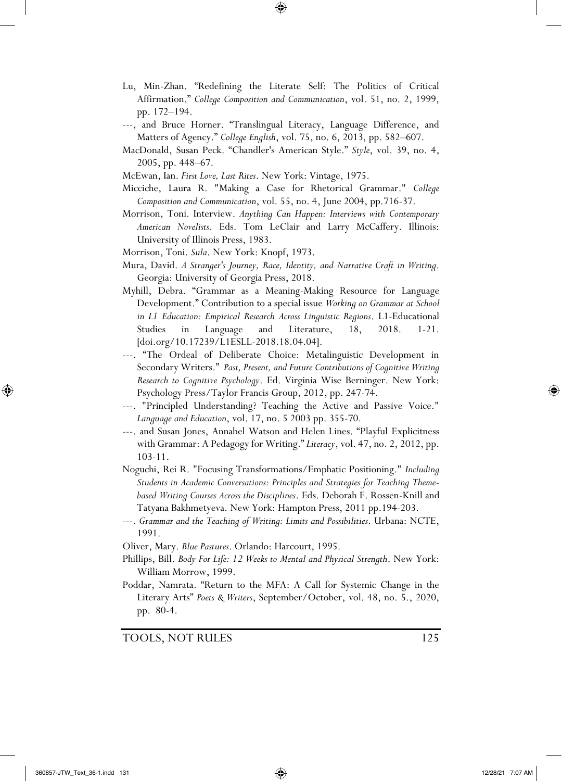Lu, Min-Zhan. "Redefining the Literate Self: The Politics of Critical Affirmation." *College Composition and Communication*, vol. 51, no. 2, 1999, pp. 172–194.

⊕

- ---, and Bruce Horner. "Translingual Literacy, Language Difference, and Matters of Agency." *College English*, vol. 75, no. 6, 2013, pp. 582–607.
- MacDonald, Susan Peck. "Chandler's American Style." *Style*, vol. 39, no. 4, 2005, pp. 448–67.
- McEwan, Ian. *First Love, Last Rites*. New York: Vintage, 1975.
- Micciche, Laura R. "Making a Case for Rhetorical Grammar." *College Composition and Communication*, vol. 55, no. 4, June 2004, pp.716-37.
- Morrison, Toni. Interview. *Anything Can Happen: Interviews with Contemporary American Novelists*. Eds. Tom LeClair and Larry McCaffery. Illinois: University of Illinois Press, 1983.
- Morrison, Toni. *Sula*. New York: Knopf, 1973.
- Mura, David. *A Stranger's Journey, Race, Identity, and Narrative Craft in Writing*. Georgia: University of Georgia Press, 2018.
- Myhill, Debra. "Grammar as a Meaning-Making Resource for Language Development." Contribution to a special issue *Working on Grammar at School in L1 Education: Empirical Research Across Linguistic Regions*. L1-Educational Studies in Language and Literature, 18, 2018. 1-21. [doi.org/10.17239/L1ESLL-2018.18.04.04].
- ---. "The Ordeal of Deliberate Choice: Metalinguistic Development in Secondary Writers." *Past, Present, and Future Contributions of Cognitive Writing Research to Cognitive Psychology*. Ed. Virginia Wise Berninger. New York: Psychology Press/Taylor Francis Group, 2012, pp. 247-74.
- ---. "Principled Understanding? Teaching the Active and Passive Voice." *Language and Education*, vol. 17, no. 5 2003 pp. 355-70.
- ---. and Susan Jones, Annabel Watson and Helen Lines. "Playful Explicitness with Grammar: A Pedagogy for Writing." *Literacy*, vol. 47, no. 2, 2012, pp. 103-11.
- Noguchi, Rei R. "Focusing Transformations/Emphatic Positioning." *Including Students in Academic Conversations: Principles and Strategies for Teaching Themebased Writing Courses Across the Disciplines*. Eds. Deborah F. Rossen-Knill and Tatyana Bakhmetyeva. New York: Hampton Press, 2011 pp.194-203.
- ---. *Grammar and the Teaching of Writing: Limits and Possibilities*. Urbana: NCTE, 1991.

Oliver, Mary. *Blue Pastures*. Orlando: Harcourt, 1995.

- Phillips, Bill. *Body For Life: 12 Weeks to Mental and Physical Strength*. New York: William Morrow, 1999.
- Poddar, Namrata. "Return to the MFA: A Call for Systemic Change in the Literary Arts" *Poets & Writers*, September/October, vol. 48, no. 5., 2020, pp. 80-4.

TOOLS, NOT RULES 125

⊕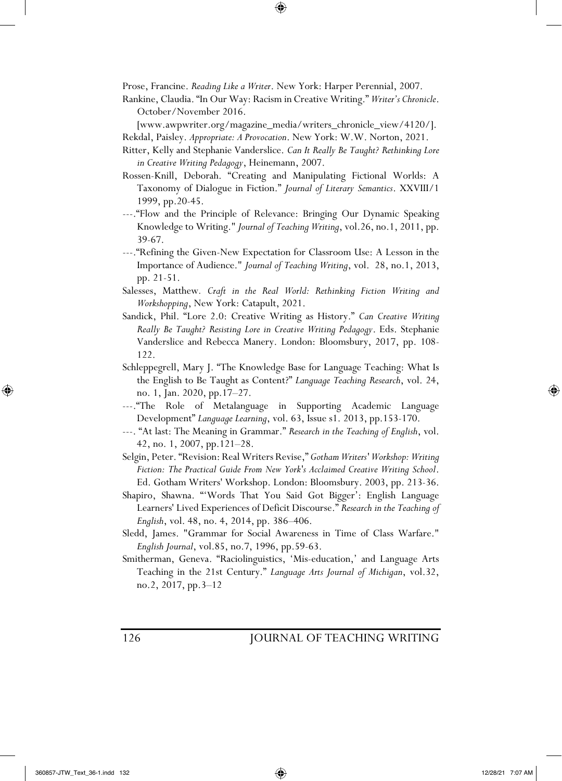Prose, Francine. *Reading Like a Writer*. New York: Harper Perennial, 2007.

Rankine, Claudia. "In Our Way: Racism in Creative Writing." *Writer's Chronicle*. October/November 2016.

⊕

[www.awpwriter.org/magazine\_media/writers\_chronicle\_view/4120/].

Rekdal, Paisley. *Appropriate: A Provocation*. New York: W.W. Norton, 2021.

- Ritter, Kelly and Stephanie Vanderslice. *Can It Really Be Taught? Rethinking Lore in Creative Writing Pedagogy*, Heinemann, 2007.
- Rossen-Knill, Deborah. "Creating and Manipulating Fictional Worlds: A Taxonomy of Dialogue in Fiction." *Journal of Literary Semantics*. XXVIII/1 1999, pp.20-45.
- ---."Flow and the Principle of Relevance: Bringing Our Dynamic Speaking Knowledge to Writing." *Journal of Teaching Writing*, vol.26, no.1, 2011, pp. 39-67.
- ---."Refining the Given-New Expectation for Classroom Use: A Lesson in the Importance of Audience." *Journal of Teaching Writing*, vol. 28, no.1, 2013, pp. 21-51.
- Salesses, Matthew*. Craft in the Real World: Rethinking Fiction Writing and Workshopping*, New York: Catapult, 2021.
- Sandick, Phil. "Lore 2.0: Creative Writing as History." *Can Creative Writing Really Be Taught? Resisting Lore in Creative Writing Pedagogy*. Eds. Stephanie Vanderslice and Rebecca Manery. London: Bloomsbury, 2017, pp. 108- 122.
- Schleppegrell, Mary J. "The Knowledge Base for Language Teaching: What Is the English to Be Taught as Content?" *Language Teaching Research*, vol. 24, no. 1, Jan. 2020, pp.17–27.
- ---."The Role of Metalanguage in Supporting Academic Language Development" *Language Learning*, vol. 63, Issue s1. 2013, pp.153-170.
- ---. "At last: The Meaning in Grammar." *Research in the Teaching of English*, vol. 42, no. 1, 2007, pp.121–28.
- Selgin, Peter. "Revision: Real Writers Revise," *Gotham Writers' Workshop: Writing Fiction: The Practical Guide From New York's Acclaimed Creative Writing School*. Ed. Gotham Writers' Workshop. London: Bloomsbury. 2003, pp. 213-36.
- Shapiro, Shawna. "'Words That You Said Got Bigger': English Language Learners' Lived Experiences of Deficit Discourse." *Research in the Teaching of English*, vol. 48, no. 4, 2014, pp. 386–406.
- Sledd, James. "Grammar for Social Awareness in Time of Class Warfare." *English Journal*, vol.85, no.7, 1996, pp.59-63.
- Smitherman, Geneva. "Raciolinguistics, 'Mis-education,' and Language Arts Teaching in the 21st Century." *Language Arts Journal of Michigan*, vol.32, no.2, 2017, pp.3–12

126 JOURNAL OF TEACHING WRITING

⊕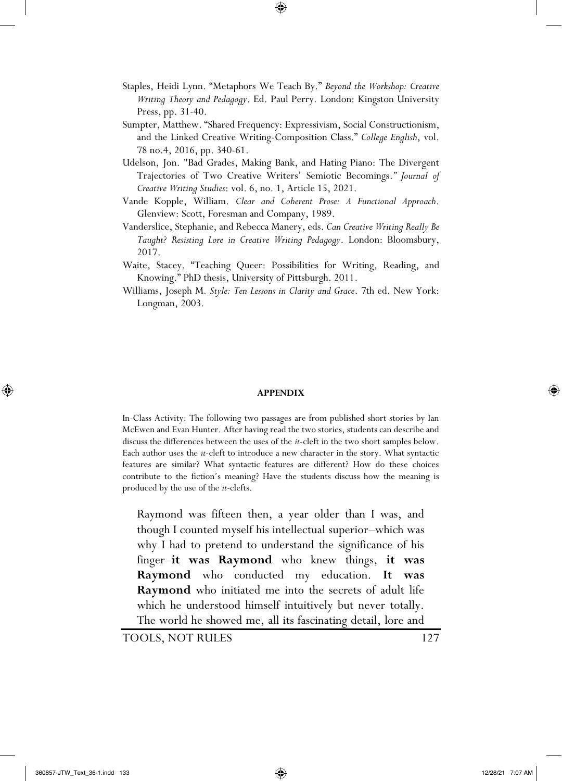Staples, Heidi Lynn. "Metaphors We Teach By." *Beyond the Workshop: Creative Writing Theory and Pedagogy*. Ed. Paul Perry. London: Kingston University Press, pp. 31-40.

⊕

- Sumpter, Matthew. "Shared Frequency: Expressivism, Social Constructionism, and the Linked Creative Writing-Composition Class." *College English*, vol. 78 no.4, 2016, pp. 340-61.
- Udelson, Jon. "Bad Grades, Making Bank, and Hating Piano: The Divergent Trajectories of Two Creative Writers' Semiotic Becomings.*" Journal of Creative Writing Studies*: vol. 6, no. 1, Article 15, 2021.
- Vande Kopple, William. *Clear and Coherent Prose: A Functional Approach*. Glenview: Scott, Foresman and Company, 1989.
- Vanderslice, Stephanie, and Rebecca Manery, eds. *Can Creative Writing Really Be Taught? Resisting Lore in Creative Writing Pedagogy*. London: Bloomsbury, 2017.
- Waite, Stacey. "Teaching Queer: Possibilities for Writing, Reading, and Knowing." PhD thesis, University of Pittsburgh. 2011.
- Williams, Joseph M*. Style: Ten Lessons in Clarity and Grace*. 7th ed. New York: Longman, 2003.

#### **APPENDIX**

In-Class Activity: The following two passages are from published short stories by Ian McEwen and Evan Hunter. After having read the two stories, students can describe and discuss the differences between the uses of the *it*-cleft in the two short samples below. Each author uses the *it*-cleft to introduce a new character in the story. What syntactic features are similar? What syntactic features are different? How do these choices contribute to the fiction's meaning? Have the students discuss how the meaning is produced by the use of the *it*-clefts.

Raymond was fifteen then, a year older than I was, and though I counted myself his intellectual superior–which was why I had to pretend to understand the significance of his finger–**it was Raymond** who knew things, **it was Raymond** who conducted my education. **It was Raymond** who initiated me into the secrets of adult life which he understood himself intuitively but never totally. The world he showed me, all its fascinating detail, lore and

TOOLS, NOT RULES 127

⊕